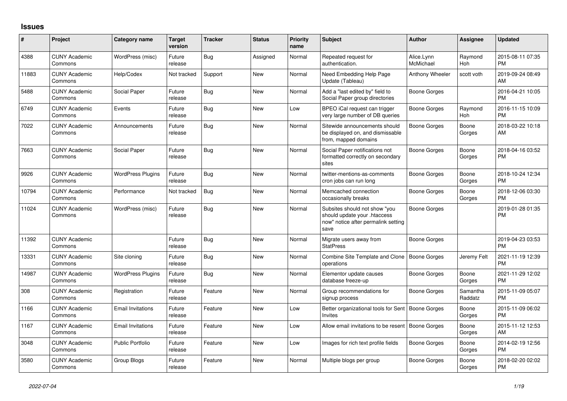## **Issues**

| #     | Project                         | <b>Category name</b>     | <b>Target</b><br>version | <b>Tracker</b> | <b>Status</b> | <b>Priority</b><br>name | <b>Subject</b>                                                                                               | <b>Author</b>           | Assignee            | <b>Updated</b>                |
|-------|---------------------------------|--------------------------|--------------------------|----------------|---------------|-------------------------|--------------------------------------------------------------------------------------------------------------|-------------------------|---------------------|-------------------------------|
| 4388  | <b>CUNY Academic</b><br>Commons | WordPress (misc)         | Future<br>release        | Bug            | Assigned      | Normal                  | Repeated request for<br>authentication.                                                                      | Alice.Lynn<br>McMichael | Raymond<br>Hoh      | 2015-08-11 07:35<br><b>PM</b> |
| 11883 | <b>CUNY Academic</b><br>Commons | Help/Codex               | Not tracked              | Support        | New           | Normal                  | Need Embedding Help Page<br>Update (Tableau)                                                                 | Anthony Wheeler         | scott voth          | 2019-09-24 08:49<br>AM        |
| 5488  | <b>CUNY Academic</b><br>Commons | Social Paper             | Future<br>release        | <b>Bug</b>     | <b>New</b>    | Normal                  | Add a "last edited by" field to<br>Social Paper group directories                                            | Boone Gorges            |                     | 2016-04-21 10:05<br><b>PM</b> |
| 6749  | <b>CUNY Academic</b><br>Commons | Events                   | Future<br>release        | Bug            | New           | Low                     | BPEO iCal request can trigger<br>very large number of DB queries                                             | Boone Gorges            | Raymond<br>Hoh      | 2016-11-15 10:09<br><b>PM</b> |
| 7022  | <b>CUNY Academic</b><br>Commons | Announcements            | Future<br>release        | Bug            | <b>New</b>    | Normal                  | Sitewide announcements should<br>be displayed on, and dismissable<br>from, mapped domains                    | Boone Gorges            | Boone<br>Gorges     | 2018-03-22 10:18<br>AM        |
| 7663  | <b>CUNY Academic</b><br>Commons | Social Paper             | Future<br>release        | <b>Bug</b>     | <b>New</b>    | Normal                  | Social Paper notifications not<br>formatted correctly on secondary<br>sites                                  | Boone Gorges            | Boone<br>Gorges     | 2018-04-16 03:52<br><b>PM</b> |
| 9926  | <b>CUNY Academic</b><br>Commons | <b>WordPress Plugins</b> | Future<br>release        | Bug            | New           | Normal                  | twitter-mentions-as-comments<br>cron jobs can run long                                                       | Boone Gorges            | Boone<br>Gorges     | 2018-10-24 12:34<br><b>PM</b> |
| 10794 | <b>CUNY Academic</b><br>Commons | Performance              | Not tracked              | Bug            | <b>New</b>    | Normal                  | Memcached connection<br>occasionally breaks                                                                  | Boone Gorges            | Boone<br>Gorges     | 2018-12-06 03:30<br><b>PM</b> |
| 11024 | <b>CUNY Academic</b><br>Commons | WordPress (misc)         | Future<br>release        | Bug            | <b>New</b>    | Normal                  | Subsites should not show "you<br>should update your .htaccess<br>now" notice after permalink setting<br>save | Boone Gorges            |                     | 2019-01-28 01:35<br><b>PM</b> |
| 11392 | <b>CUNY Academic</b><br>Commons |                          | Future<br>release        | Bug            | <b>New</b>    | Normal                  | Migrate users away from<br><b>StatPress</b>                                                                  | Boone Gorges            |                     | 2019-04-23 03:53<br><b>PM</b> |
| 13331 | <b>CUNY Academic</b><br>Commons | Site cloning             | Future<br>release        | Bug            | New           | Normal                  | Combine Site Template and Clone<br>operations                                                                | Boone Gorges            | Jeremy Felt         | 2021-11-19 12:39<br><b>PM</b> |
| 14987 | <b>CUNY Academic</b><br>Commons | <b>WordPress Plugins</b> | Future<br>release        | Bug            | <b>New</b>    | Normal                  | Elementor update causes<br>database freeze-up                                                                | Boone Gorges            | Boone<br>Gorges     | 2021-11-29 12:02<br><b>PM</b> |
| 308   | <b>CUNY Academic</b><br>Commons | Registration             | Future<br>release        | Feature        | <b>New</b>    | Normal                  | Group recommendations for<br>signup process                                                                  | Boone Gorges            | Samantha<br>Raddatz | 2015-11-09 05:07<br><b>PM</b> |
| 1166  | <b>CUNY Academic</b><br>Commons | <b>Email Invitations</b> | Future<br>release        | Feature        | New           | Low                     | Better organizational tools for Sent<br>Invites                                                              | Boone Gorges            | Boone<br>Gorges     | 2015-11-09 06:02<br><b>PM</b> |
| 1167  | <b>CUNY Academic</b><br>Commons | <b>Email Invitations</b> | Future<br>release        | Feature        | <b>New</b>    | Low                     | Allow email invitations to be resent                                                                         | Boone Gorges            | Boone<br>Gorges     | 2015-11-12 12:53<br>AM        |
| 3048  | <b>CUNY Academic</b><br>Commons | <b>Public Portfolio</b>  | Future<br>release        | Feature        | New           | Low                     | Images for rich text profile fields                                                                          | Boone Gorges            | Boone<br>Gorges     | 2014-02-19 12:56<br><b>PM</b> |
| 3580  | <b>CUNY Academic</b><br>Commons | Group Blogs              | Future<br>release        | Feature        | <b>New</b>    | Normal                  | Multiple blogs per group                                                                                     | Boone Gorges            | Boone<br>Gorges     | 2018-02-20 02:02<br><b>PM</b> |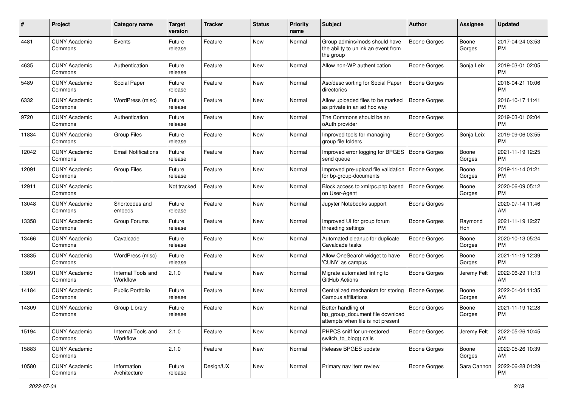| #     | Project                         | Category name                  | <b>Target</b><br>version | Tracker   | <b>Status</b> | <b>Priority</b><br>name | <b>Subject</b>                                                                             | <b>Author</b>       | <b>Assignee</b> | <b>Updated</b>                |
|-------|---------------------------------|--------------------------------|--------------------------|-----------|---------------|-------------------------|--------------------------------------------------------------------------------------------|---------------------|-----------------|-------------------------------|
| 4481  | <b>CUNY Academic</b><br>Commons | Events                         | Future<br>release        | Feature   | New           | Normal                  | Group admins/mods should have<br>the ability to unlink an event from<br>the group          | <b>Boone Gorges</b> | Boone<br>Gorges | 2017-04-24 03:53<br>PM.       |
| 4635  | <b>CUNY Academic</b><br>Commons | Authentication                 | Future<br>release        | Feature   | New           | Normal                  | Allow non-WP authentication                                                                | Boone Gorges        | Sonja Leix      | 2019-03-01 02:05<br><b>PM</b> |
| 5489  | <b>CUNY Academic</b><br>Commons | Social Paper                   | Future<br>release        | Feature   | New           | Normal                  | Asc/desc sorting for Social Paper<br>directories                                           | <b>Boone Gorges</b> |                 | 2016-04-21 10:06<br><b>PM</b> |
| 6332  | <b>CUNY Academic</b><br>Commons | WordPress (misc)               | Future<br>release        | Feature   | New           | Normal                  | Allow uploaded files to be marked<br>as private in an ad hoc way                           | Boone Gorges        |                 | 2016-10-17 11:41<br><b>PM</b> |
| 9720  | <b>CUNY Academic</b><br>Commons | Authentication                 | Future<br>release        | Feature   | New           | Normal                  | The Commons should be an<br>oAuth provider                                                 | Boone Gorges        |                 | 2019-03-01 02:04<br><b>PM</b> |
| 11834 | <b>CUNY Academic</b><br>Commons | <b>Group Files</b>             | Future<br>release        | Feature   | New           | Normal                  | Improved tools for managing<br>group file folders                                          | Boone Gorges        | Sonja Leix      | 2019-09-06 03:55<br><b>PM</b> |
| 12042 | <b>CUNY Academic</b><br>Commons | <b>Email Notifications</b>     | Future<br>release        | Feature   | New           | Normal                  | Improved error logging for BPGES<br>send queue                                             | Boone Gorges        | Boone<br>Gorges | 2021-11-19 12:25<br><b>PM</b> |
| 12091 | <b>CUNY Academic</b><br>Commons | <b>Group Files</b>             | Future<br>release        | Feature   | New           | Normal                  | Improved pre-upload file validation<br>for bp-group-documents                              | <b>Boone Gorges</b> | Boone<br>Gorges | 2019-11-14 01:21<br><b>PM</b> |
| 12911 | <b>CUNY Academic</b><br>Commons |                                | Not tracked              | Feature   | <b>New</b>    | Normal                  | Block access to xmlrpc.php based<br>on User-Agent                                          | Boone Gorges        | Boone<br>Gorges | 2020-06-09 05:12<br>PM.       |
| 13048 | <b>CUNY Academic</b><br>Commons | Shortcodes and<br>embeds       | Future<br>release        | Feature   | New           | Normal                  | Jupyter Notebooks support                                                                  | Boone Gorges        |                 | 2020-07-14 11:46<br>AM        |
| 13358 | <b>CUNY Academic</b><br>Commons | Group Forums                   | Future<br>release        | Feature   | New           | Normal                  | Improved UI for group forum<br>threading settings                                          | Boone Gorges        | Raymond<br>Hoh  | 2021-11-19 12:27<br><b>PM</b> |
| 13466 | <b>CUNY Academic</b><br>Commons | Cavalcade                      | Future<br>release        | Feature   | New           | Normal                  | Automated cleanup for duplicate<br>Cavalcade tasks                                         | Boone Gorges        | Boone<br>Gorges | 2020-10-13 05:24<br>PM.       |
| 13835 | <b>CUNY Academic</b><br>Commons | WordPress (misc)               | Future<br>release        | Feature   | New           | Normal                  | Allow OneSearch widget to have<br>'CUNY' as campus                                         | Boone Gorges        | Boone<br>Gorges | 2021-11-19 12:39<br><b>PM</b> |
| 13891 | <b>CUNY Academic</b><br>Commons | Internal Tools and<br>Workflow | 2.1.0                    | Feature   | New           | Normal                  | Migrate automated linting to<br>GitHub Actions                                             | Boone Gorges        | Jeremy Felt     | 2022-06-29 11:13<br>AM.       |
| 14184 | <b>CUNY Academic</b><br>Commons | Public Portfolio               | Future<br>release        | Feature   | <b>New</b>    | Normal                  | Centralized mechanism for storing<br>Campus affiliations                                   | <b>Boone Gorges</b> | Boone<br>Gorges | 2022-01-04 11:35<br>AM        |
| 14309 | <b>CUNY Academic</b><br>Commons | Group Library                  | Future<br>release        | Feature   | <b>New</b>    | Normal                  | Better handling of<br>bp_group_document file download<br>attempts when file is not present | <b>Boone Gorges</b> | Boone<br>Gorges | 2021-11-19 12:28<br><b>PM</b> |
| 15194 | <b>CUNY Academic</b><br>Commons | Internal Tools and<br>Workflow | 2.1.0                    | Feature   | New           | Normal                  | PHPCS sniff for un-restored<br>switch_to_blog() calls                                      | Boone Gorges        | Jeremy Felt     | 2022-05-26 10:45<br>AM        |
| 15883 | <b>CUNY Academic</b><br>Commons |                                | 2.1.0                    | Feature   | New           | Normal                  | Release BPGES update                                                                       | Boone Gorges        | Boone<br>Gorges | 2022-05-26 10:39<br>AM        |
| 10580 | <b>CUNY Academic</b><br>Commons | Information<br>Architecture    | Future<br>release        | Design/UX | New           | Normal                  | Primary nav item review                                                                    | Boone Gorges        | Sara Cannon     | 2022-06-28 01:29<br><b>PM</b> |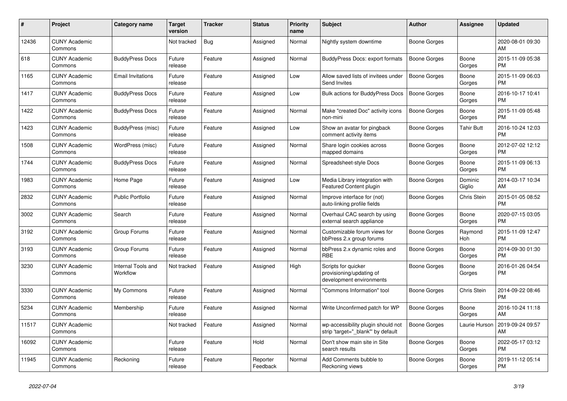| #     | Project                         | <b>Category name</b>           | <b>Target</b><br>version | <b>Tracker</b> | <b>Status</b>        | Priority<br>name | <b>Subject</b>                                                              | <b>Author</b>       | <b>Assignee</b>   | <b>Updated</b>                |
|-------|---------------------------------|--------------------------------|--------------------------|----------------|----------------------|------------------|-----------------------------------------------------------------------------|---------------------|-------------------|-------------------------------|
| 12436 | <b>CUNY Academic</b><br>Commons |                                | Not tracked              | <b>Bug</b>     | Assigned             | Normal           | Nightly system downtime                                                     | Boone Gorges        |                   | 2020-08-01 09:30<br>AM        |
| 618   | <b>CUNY Academic</b><br>Commons | <b>BuddyPress Docs</b>         | Future<br>release        | Feature        | Assigned             | Normal           | <b>BuddyPress Docs: export formats</b>                                      | Boone Gorges        | Boone<br>Gorges   | 2015-11-09 05:38<br><b>PM</b> |
| 1165  | <b>CUNY Academic</b><br>Commons | <b>Email Invitations</b>       | Future<br>release        | Feature        | Assigned             | Low              | Allow saved lists of invitees under<br>Send Invites                         | Boone Gorges        | Boone<br>Gorges   | 2015-11-09 06:03<br><b>PM</b> |
| 1417  | <b>CUNY Academic</b><br>Commons | <b>BuddyPress Docs</b>         | Future<br>release        | Feature        | Assigned             | Low              | <b>Bulk actions for BuddyPress Docs</b>                                     | <b>Boone Gorges</b> | Boone<br>Gorges   | 2016-10-17 10:41<br><b>PM</b> |
| 1422  | <b>CUNY Academic</b><br>Commons | <b>BuddyPress Docs</b>         | Future<br>release        | Feature        | Assigned             | Normal           | Make "created Doc" activity icons<br>non-mini                               | <b>Boone Gorges</b> | Boone<br>Gorges   | 2015-11-09 05:48<br><b>PM</b> |
| 1423  | <b>CUNY Academic</b><br>Commons | BuddyPress (misc)              | Future<br>release        | Feature        | Assigned             | Low              | Show an avatar for pingback<br>comment activity items                       | Boone Gorges        | Tahir Butt        | 2016-10-24 12:03<br><b>PM</b> |
| 1508  | <b>CUNY Academic</b><br>Commons | WordPress (misc)               | Future<br>release        | Feature        | Assigned             | Normal           | Share login cookies across<br>mapped domains                                | Boone Gorges        | Boone<br>Gorges   | 2012-07-02 12:12<br><b>PM</b> |
| 1744  | <b>CUNY Academic</b><br>Commons | <b>BuddyPress Docs</b>         | Future<br>release        | Feature        | Assigned             | Normal           | Spreadsheet-style Docs                                                      | Boone Gorges        | Boone<br>Gorges   | 2015-11-09 06:13<br><b>PM</b> |
| 1983  | <b>CUNY Academic</b><br>Commons | Home Page                      | Future<br>release        | Feature        | Assigned             | Low              | Media Library integration with<br>Featured Content plugin                   | Boone Gorges        | Dominic<br>Giglio | 2014-03-17 10:34<br>AM        |
| 2832  | <b>CUNY Academic</b><br>Commons | <b>Public Portfolio</b>        | Future<br>release        | Feature        | Assigned             | Normal           | Improve interface for (not)<br>auto-linking profile fields                  | Boone Gorges        | Chris Stein       | 2015-01-05 08:52<br><b>PM</b> |
| 3002  | <b>CUNY Academic</b><br>Commons | Search                         | Future<br>release        | Feature        | Assigned             | Normal           | Overhaul CAC search by using<br>external search appliance                   | Boone Gorges        | Boone<br>Gorges   | 2020-07-15 03:05<br><b>PM</b> |
| 3192  | <b>CUNY Academic</b><br>Commons | Group Forums                   | Future<br>release        | Feature        | Assigned             | Normal           | Customizable forum views for<br>bbPress 2.x group forums                    | Boone Gorges        | Raymond<br>Hoh    | 2015-11-09 12:47<br><b>PM</b> |
| 3193  | <b>CUNY Academic</b><br>Commons | Group Forums                   | Future<br>release        | Feature        | Assigned             | Normal           | bbPress 2.x dynamic roles and<br><b>RBE</b>                                 | Boone Gorges        | Boone<br>Gorges   | 2014-09-30 01:30<br><b>PM</b> |
| 3230  | <b>CUNY Academic</b><br>Commons | Internal Tools and<br>Workflow | Not tracked              | Feature        | Assigned             | High             | Scripts for quicker<br>provisioning/updating of<br>development environments | Boone Gorges        | Boone<br>Gorges   | 2016-01-26 04:54<br><b>PM</b> |
| 3330  | <b>CUNY Academic</b><br>Commons | My Commons                     | Future<br>release        | Feature        | Assigned             | Normal           | "Commons Information" tool                                                  | Boone Gorges        | Chris Stein       | 2014-09-22 08:46<br><b>PM</b> |
| 5234  | <b>CUNY Academic</b><br>Commons | Membership                     | Future<br>release        | Feature        | Assigned             | Normal           | Write Unconfirmed patch for WP                                              | <b>Boone Gorges</b> | Boone<br>Gorges   | 2016-10-24 11:18<br>AM        |
| 11517 | <b>CUNY Academic</b><br>Commons |                                | Not tracked              | Feature        | Assigned             | Normal           | wp-accessibility plugin should not<br>strip 'target="_blank"' by default    | Boone Gorges        | Laurie Hurson     | 2019-09-24 09:57<br>AM        |
| 16092 | <b>CUNY Academic</b><br>Commons |                                | Future<br>release        | Feature        | Hold                 | Normal           | Don't show main site in Site<br>search results                              | Boone Gorges        | Boone<br>Gorges   | 2022-05-17 03:12<br><b>PM</b> |
| 11945 | <b>CUNY Academic</b><br>Commons | Reckoning                      | Future<br>release        | Feature        | Reporter<br>Feedback | Normal           | Add Comments bubble to<br>Reckoning views                                   | Boone Gorges        | Boone<br>Gorges   | 2019-11-12 05:14<br><b>PM</b> |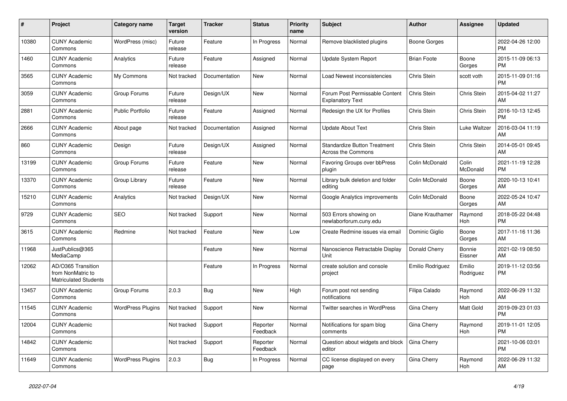| #     | Project                                                                 | <b>Category name</b>     | <b>Target</b><br>version | <b>Tracker</b> | <b>Status</b>        | Priority<br>name | <b>Subject</b>                                                   | <b>Author</b>      | <b>Assignee</b>     | <b>Updated</b>                |
|-------|-------------------------------------------------------------------------|--------------------------|--------------------------|----------------|----------------------|------------------|------------------------------------------------------------------|--------------------|---------------------|-------------------------------|
| 10380 | <b>CUNY Academic</b><br>Commons                                         | WordPress (misc)         | Future<br>release        | Feature        | In Progress          | Normal           | Remove blacklisted plugins                                       | Boone Gorges       |                     | 2022-04-26 12:00<br><b>PM</b> |
| 1460  | <b>CUNY Academic</b><br>Commons                                         | Analytics                | Future<br>release        | Feature        | Assigned             | Normal           | Update System Report                                             | <b>Brian Foote</b> | Boone<br>Gorges     | 2015-11-09 06:13<br><b>PM</b> |
| 3565  | <b>CUNY Academic</b><br>Commons                                         | My Commons               | Not tracked              | Documentation  | <b>New</b>           | Normal           | Load Newest inconsistencies                                      | Chris Stein        | scott voth          | 2015-11-09 01:16<br><b>PM</b> |
| 3059  | <b>CUNY Academic</b><br>Commons                                         | Group Forums             | Future<br>release        | Design/UX      | <b>New</b>           | Normal           | Forum Post Permissable Content<br><b>Explanatory Text</b>        | Chris Stein        | Chris Stein         | 2015-04-02 11:27<br>AM        |
| 2881  | <b>CUNY Academic</b><br>Commons                                         | <b>Public Portfolio</b>  | Future<br>release        | Feature        | Assigned             | Normal           | Redesign the UX for Profiles                                     | Chris Stein        | Chris Stein         | 2016-10-13 12:45<br><b>PM</b> |
| 2666  | <b>CUNY Academic</b><br>Commons                                         | About page               | Not tracked              | Documentation  | Assigned             | Normal           | <b>Update About Text</b>                                         | Chris Stein        | Luke Waltzer        | 2016-03-04 11:19<br>AM        |
| 860   | <b>CUNY Academic</b><br>Commons                                         | Design                   | Future<br>release        | Design/UX      | Assigned             | Normal           | <b>Standardize Button Treatment</b><br><b>Across the Commons</b> | Chris Stein        | Chris Stein         | 2014-05-01 09:45<br>AM        |
| 13199 | <b>CUNY Academic</b><br>Commons                                         | Group Forums             | Future<br>release        | Feature        | New                  | Normal           | Favoring Groups over bbPress<br>plugin                           | Colin McDonald     | Colin<br>McDonald   | 2021-11-19 12:28<br><b>PM</b> |
| 13370 | <b>CUNY Academic</b><br>Commons                                         | Group Library            | Future<br>release        | Feature        | <b>New</b>           | Normal           | Library bulk deletion and folder<br>editing                      | Colin McDonald     | Boone<br>Gorges     | 2020-10-13 10:41<br>AM        |
| 15210 | <b>CUNY Academic</b><br>Commons                                         | Analytics                | Not tracked              | Design/UX      | <b>New</b>           | Normal           | Google Analytics improvements                                    | Colin McDonald     | Boone<br>Gorges     | 2022-05-24 10:47<br>AM        |
| 9729  | <b>CUNY Academic</b><br>Commons                                         | <b>SEO</b>               | Not tracked              | Support        | New                  | Normal           | 503 Errors showing on<br>newlaborforum.cuny.edu                  | Diane Krauthamer   | Raymond<br>Hoh      | 2018-05-22 04:48<br><b>PM</b> |
| 3615  | <b>CUNY Academic</b><br>Commons                                         | Redmine                  | Not tracked              | Feature        | New                  | Low              | Create Redmine issues via email                                  | Dominic Giglio     | Boone<br>Gorges     | 2017-11-16 11:36<br>AM        |
| 11968 | JustPublics@365<br>MediaCamp                                            |                          |                          | Feature        | <b>New</b>           | Normal           | Nanoscience Retractable Display<br>Unit                          | Donald Cherry      | Bonnie<br>Eissner   | 2021-02-19 08:50<br>AM        |
| 12062 | AD/O365 Transition<br>from NonMatric to<br><b>Matriculated Students</b> |                          |                          | Feature        | In Progress          | Normal           | create solution and console<br>project                           | Emilio Rodriguez   | Emilio<br>Rodriguez | 2019-11-12 03:56<br><b>PM</b> |
| 13457 | <b>CUNY Academic</b><br>Commons                                         | Group Forums             | 2.0.3                    | Bug            | New                  | High             | Forum post not sending<br>notifications                          | Filipa Calado      | Raymond<br>Hoh      | 2022-06-29 11:32<br>AM        |
| 11545 | <b>CUNY Academic</b><br>Commons                                         | <b>WordPress Plugins</b> | Not tracked              | Support        | <b>New</b>           | Normal           | Twitter searches in WordPress                                    | Gina Cherry        | Matt Gold           | 2019-09-23 01:03<br><b>PM</b> |
| 12004 | <b>CUNY Academic</b><br>Commons                                         |                          | Not tracked              | Support        | Reporter<br>Feedback | Normal           | Notifications for spam blog<br>comments                          | Gina Cherry        | Raymond<br>Hoh      | 2019-11-01 12:05<br><b>PM</b> |
| 14842 | <b>CUNY Academic</b><br>Commons                                         |                          | Not tracked              | Support        | Reporter<br>Feedback | Normal           | Question about widgets and block<br>editor                       | Gina Cherry        |                     | 2021-10-06 03:01<br><b>PM</b> |
| 11649 | <b>CUNY Academic</b><br>Commons                                         | <b>WordPress Plugins</b> | 2.0.3                    | Bug            | In Progress          | Normal           | CC license displayed on every<br>page                            | Gina Cherry        | Raymond<br>Hoh      | 2022-06-29 11:32<br>AM        |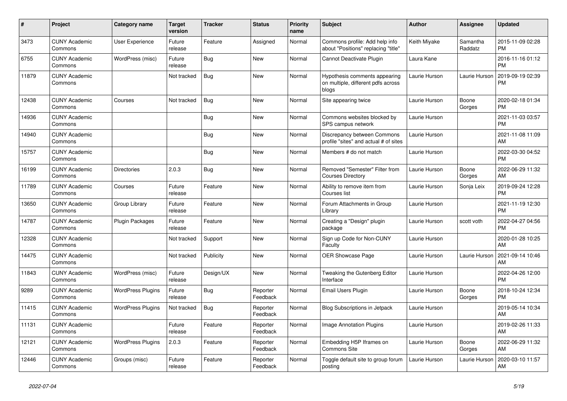| #     | <b>Project</b>                  | Category name            | <b>Target</b><br>version | <b>Tracker</b> | <b>Status</b>        | <b>Priority</b><br>name | <b>Subject</b>                                                               | <b>Author</b> | Assignee            | <b>Updated</b>                |
|-------|---------------------------------|--------------------------|--------------------------|----------------|----------------------|-------------------------|------------------------------------------------------------------------------|---------------|---------------------|-------------------------------|
| 3473  | <b>CUNY Academic</b><br>Commons | User Experience          | Future<br>release        | Feature        | Assigned             | Normal                  | Commons profile: Add help info<br>about "Positions" replacing "title"        | Keith Miyake  | Samantha<br>Raddatz | 2015-11-09 02:28<br><b>PM</b> |
| 6755  | <b>CUNY Academic</b><br>Commons | WordPress (misc)         | Future<br>release        | Bug            | <b>New</b>           | Normal                  | Cannot Deactivate Plugin                                                     | Laura Kane    |                     | 2016-11-16 01:12<br><b>PM</b> |
| 11879 | <b>CUNY Academic</b><br>Commons |                          | Not tracked              | Bug            | <b>New</b>           | Normal                  | Hypothesis comments appearing<br>on multiple, different pdfs across<br>blogs | Laurie Hurson | Laurie Hurson       | 2019-09-19 02:39<br><b>PM</b> |
| 12438 | <b>CUNY Academic</b><br>Commons | Courses                  | Not tracked              | <b>Bug</b>     | <b>New</b>           | Normal                  | Site appearing twice                                                         | Laurie Hurson | Boone<br>Gorges     | 2020-02-18 01:34<br><b>PM</b> |
| 14936 | <b>CUNY Academic</b><br>Commons |                          |                          | Bug            | <b>New</b>           | Normal                  | Commons websites blocked by<br>SPS campus network                            | Laurie Hurson |                     | 2021-11-03 03:57<br><b>PM</b> |
| 14940 | <b>CUNY Academic</b><br>Commons |                          |                          | <b>Bug</b>     | <b>New</b>           | Normal                  | Discrepancy between Commons<br>profile "sites" and actual # of sites         | Laurie Hurson |                     | 2021-11-08 11:09<br>AM        |
| 15757 | <b>CUNY Academic</b><br>Commons |                          |                          | <b>Bug</b>     | <b>New</b>           | Normal                  | Members # do not match                                                       | Laurie Hurson |                     | 2022-03-30 04:52<br><b>PM</b> |
| 16199 | <b>CUNY Academic</b><br>Commons | <b>Directories</b>       | 2.0.3                    | Bug            | <b>New</b>           | Normal                  | Removed "Semester" Filter from<br><b>Courses Directory</b>                   | Laurie Hurson | Boone<br>Gorges     | 2022-06-29 11:32<br>AM        |
| 11789 | <b>CUNY Academic</b><br>Commons | Courses                  | Future<br>release        | Feature        | <b>New</b>           | Normal                  | Ability to remove item from<br>Courses list                                  | Laurie Hurson | Sonja Leix          | 2019-09-24 12:28<br><b>PM</b> |
| 13650 | <b>CUNY Academic</b><br>Commons | Group Library            | Future<br>release        | Feature        | New                  | Normal                  | Forum Attachments in Group<br>Library                                        | Laurie Hurson |                     | 2021-11-19 12:30<br><b>PM</b> |
| 14787 | <b>CUNY Academic</b><br>Commons | <b>Plugin Packages</b>   | Future<br>release        | Feature        | New                  | Normal                  | Creating a "Design" plugin<br>package                                        | Laurie Hurson | scott voth          | 2022-04-27 04:56<br><b>PM</b> |
| 12328 | <b>CUNY Academic</b><br>Commons |                          | Not tracked              | Support        | <b>New</b>           | Normal                  | Sign up Code for Non-CUNY<br>Faculty                                         | Laurie Hurson |                     | 2020-01-28 10:25<br>AM        |
| 14475 | <b>CUNY Academic</b><br>Commons |                          | Not tracked              | Publicity      | <b>New</b>           | Normal                  | <b>OER Showcase Page</b>                                                     | Laurie Hurson | Laurie Hurson       | 2021-09-14 10:46<br>AM        |
| 11843 | <b>CUNY Academic</b><br>Commons | WordPress (misc)         | Future<br>release        | Design/UX      | <b>New</b>           | Normal                  | Tweaking the Gutenberg Editor<br>Interface                                   | Laurie Hurson |                     | 2022-04-26 12:00<br><b>PM</b> |
| 9289  | <b>CUNY Academic</b><br>Commons | <b>WordPress Plugins</b> | Future<br>release        | Bug            | Reporter<br>Feedback | Normal                  | Email Users Plugin                                                           | Laurie Hurson | Boone<br>Gorges     | 2018-10-24 12:34<br><b>PM</b> |
| 11415 | <b>CUNY Academic</b><br>Commons | <b>WordPress Plugins</b> | Not tracked              | <b>Bug</b>     | Reporter<br>Feedback | Normal                  | <b>Blog Subscriptions in Jetpack</b>                                         | Laurie Hurson |                     | 2019-05-14 10:34<br>AM        |
| 11131 | <b>CUNY Academic</b><br>Commons |                          | Future<br>release        | Feature        | Reporter<br>Feedback | Normal                  | Image Annotation Plugins                                                     | Laurie Hurson |                     | 2019-02-26 11:33<br>AM        |
| 12121 | <b>CUNY Academic</b><br>Commons | <b>WordPress Plugins</b> | 2.0.3                    | Feature        | Reporter<br>Feedback | Normal                  | Embedding H5P Iframes on<br><b>Commons Site</b>                              | Laurie Hurson | Boone<br>Gorges     | 2022-06-29 11:32<br>AM        |
| 12446 | <b>CUNY Academic</b><br>Commons | Groups (misc)            | Future<br>release        | Feature        | Reporter<br>Feedback | Normal                  | Toggle default site to group forum<br>posting                                | Laurie Hurson | Laurie Hurson       | 2020-03-10 11:57<br>AM        |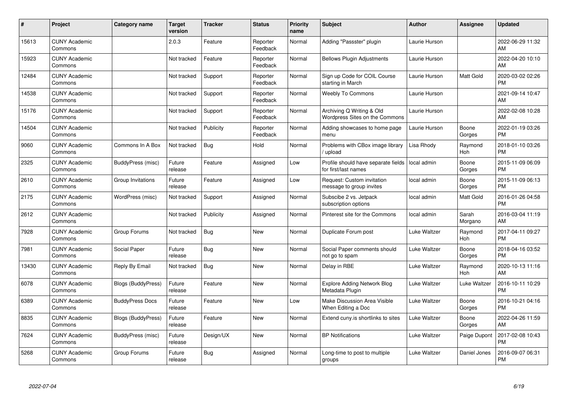| #     | Project                         | <b>Category name</b>      | <b>Target</b><br>version | <b>Tracker</b> | <b>Status</b>        | <b>Priority</b><br>name | <b>Subject</b>                                              | <b>Author</b> | <b>Assignee</b>  | <b>Updated</b>                |
|-------|---------------------------------|---------------------------|--------------------------|----------------|----------------------|-------------------------|-------------------------------------------------------------|---------------|------------------|-------------------------------|
| 15613 | <b>CUNY Academic</b><br>Commons |                           | 2.0.3                    | Feature        | Reporter<br>Feedback | Normal                  | Adding "Passster" plugin                                    | Laurie Hurson |                  | 2022-06-29 11:32<br>AM        |
| 15923 | <b>CUNY Academic</b><br>Commons |                           | Not tracked              | Feature        | Reporter<br>Feedback | Normal                  | <b>Bellows Plugin Adjustments</b>                           | Laurie Hurson |                  | 2022-04-20 10:10<br>AM        |
| 12484 | <b>CUNY Academic</b><br>Commons |                           | Not tracked              | Support        | Reporter<br>Feedback | Normal                  | Sign up Code for COIL Course<br>starting in March           | Laurie Hurson | Matt Gold        | 2020-03-02 02:26<br><b>PM</b> |
| 14538 | <b>CUNY Academic</b><br>Commons |                           | Not tracked              | Support        | Reporter<br>Feedback | Normal                  | <b>Weebly To Commons</b>                                    | Laurie Hurson |                  | 2021-09-14 10:47<br>AM        |
| 15176 | <b>CUNY Academic</b><br>Commons |                           | Not tracked              | Support        | Reporter<br>Feedback | Normal                  | Archiving Q Writing & Old<br>Wordpress Sites on the Commons | Laurie Hurson |                  | 2022-02-08 10:28<br>AM        |
| 14504 | <b>CUNY Academic</b><br>Commons |                           | Not tracked              | Publicity      | Reporter<br>Feedback | Normal                  | Adding showcases to home page<br>menu                       | Laurie Hurson | Boone<br>Gorges  | 2022-01-19 03:26<br><b>PM</b> |
| 9060  | <b>CUNY Academic</b><br>Commons | Commons In A Box          | Not tracked              | Bug            | Hold                 | Normal                  | Problems with CBox image library<br>/ upload                | Lisa Rhody    | Raymond<br>Hoh   | 2018-01-10 03:26<br><b>PM</b> |
| 2325  | <b>CUNY Academic</b><br>Commons | BuddyPress (misc)         | Future<br>release        | Feature        | Assigned             | Low                     | Profile should have separate fields<br>for first/last names | local admin   | Boone<br>Gorges  | 2015-11-09 06:09<br><b>PM</b> |
| 2610  | <b>CUNY Academic</b><br>Commons | Group Invitations         | Future<br>release        | Feature        | Assigned             | Low                     | Request: Custom invitation<br>message to group invites      | local admin   | Boone<br>Gorges  | 2015-11-09 06:13<br><b>PM</b> |
| 2175  | <b>CUNY Academic</b><br>Commons | WordPress (misc)          | Not tracked              | Support        | Assigned             | Normal                  | Subscibe 2 vs. Jetpack<br>subscription options              | local admin   | Matt Gold        | 2016-01-26 04:58<br><b>PM</b> |
| 2612  | <b>CUNY Academic</b><br>Commons |                           | Not tracked              | Publicity      | Assigned             | Normal                  | Pinterest site for the Commons                              | local admin   | Sarah<br>Morgano | 2016-03-04 11:19<br>AM        |
| 7928  | <b>CUNY Academic</b><br>Commons | Group Forums              | Not tracked              | Bug            | New                  | Normal                  | Duplicate Forum post                                        | Luke Waltzer  | Raymond<br>Hoh   | 2017-04-11 09:27<br><b>PM</b> |
| 7981  | <b>CUNY Academic</b><br>Commons | Social Paper              | Future<br>release        | Bug            | New                  | Normal                  | Social Paper comments should<br>not go to spam              | Luke Waltzer  | Boone<br>Gorges  | 2018-04-16 03:52<br><b>PM</b> |
| 13430 | <b>CUNY Academic</b><br>Commons | Reply By Email            | Not tracked              | <b>Bug</b>     | New                  | Normal                  | Delay in RBE                                                | Luke Waltzer  | Raymond<br>Hoh   | 2020-10-13 11:16<br>AM        |
| 6078  | <b>CUNY Academic</b><br>Commons | Blogs (BuddyPress)        | Future<br>release        | Feature        | New                  | Normal                  | <b>Explore Adding Network Blog</b><br>Metadata Plugin       | Luke Waltzer  | Luke Waltzer     | 2016-10-11 10:29<br><b>PM</b> |
| 6389  | <b>CUNY Academic</b><br>Commons | <b>BuddyPress Docs</b>    | Future<br>release        | Feature        | New                  | Low                     | Make Discussion Area Visible<br>When Editing a Doc          | Luke Waltzer  | Boone<br>Gorges  | 2016-10-21 04:16<br><b>PM</b> |
| 8835  | <b>CUNY Academic</b><br>Commons | <b>Blogs (BuddyPress)</b> | Future<br>release        | Feature        | New                  | Normal                  | Extend cuny is shortlinks to sites                          | Luke Waltzer  | Boone<br>Gorges  | 2022-04-26 11:59<br>AM        |
| 7624  | <b>CUNY Academic</b><br>Commons | BuddyPress (misc)         | Future<br>release        | Design/UX      | <b>New</b>           | Normal                  | <b>BP</b> Notifications                                     | Luke Waltzer  | Paige Dupont     | 2017-02-08 10:43<br><b>PM</b> |
| 5268  | <b>CUNY Academic</b><br>Commons | Group Forums              | Future<br>release        | Bug            | Assigned             | Normal                  | Long-time to post to multiple<br>groups                     | Luke Waltzer  | Daniel Jones     | 2016-09-07 06:31<br><b>PM</b> |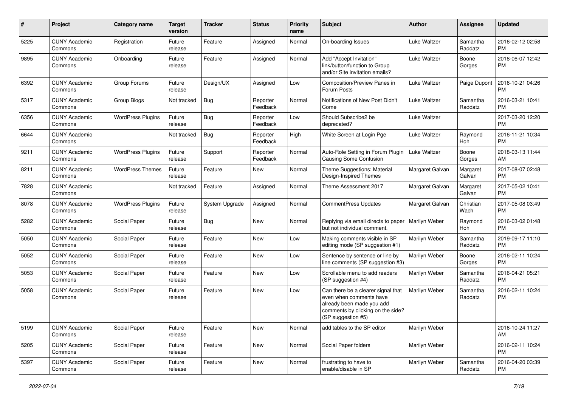| #    | Project                         | <b>Category name</b>     | <b>Target</b><br>version | <b>Tracker</b> | <b>Status</b>        | <b>Priority</b><br>name | <b>Subject</b>                                                                                                                                        | Author          | <b>Assignee</b>     | <b>Updated</b>                |
|------|---------------------------------|--------------------------|--------------------------|----------------|----------------------|-------------------------|-------------------------------------------------------------------------------------------------------------------------------------------------------|-----------------|---------------------|-------------------------------|
| 5225 | <b>CUNY Academic</b><br>Commons | Registration             | Future<br>release        | Feature        | Assigned             | Normal                  | On-boarding Issues                                                                                                                                    | Luke Waltzer    | Samantha<br>Raddatz | 2016-02-12 02:58<br><b>PM</b> |
| 9895 | <b>CUNY Academic</b><br>Commons | Onboarding               | Future<br>release        | Feature        | Assigned             | Normal                  | Add "Accept Invitation"<br>link/button/function to Group<br>and/or Site invitation emails?                                                            | Luke Waltzer    | Boone<br>Gorges     | 2018-06-07 12:42<br><b>PM</b> |
| 6392 | <b>CUNY Academic</b><br>Commons | Group Forums             | Future<br>release        | Design/UX      | Assigned             | Low                     | Composition/Preview Panes in<br>Forum Posts                                                                                                           | Luke Waltzer    | Paige Dupont        | 2016-10-21 04:26<br><b>PM</b> |
| 5317 | <b>CUNY Academic</b><br>Commons | Group Blogs              | Not tracked              | Bug            | Reporter<br>Feedback | Normal                  | Notifications of New Post Didn't<br>Come                                                                                                              | Luke Waltzer    | Samantha<br>Raddatz | 2016-03-21 10:41<br><b>PM</b> |
| 6356 | <b>CUNY Academic</b><br>Commons | <b>WordPress Plugins</b> | Future<br>release        | Bug            | Reporter<br>Feedback | Low                     | Should Subscribe2 be<br>deprecated?                                                                                                                   | Luke Waltzer    |                     | 2017-03-20 12:20<br><b>PM</b> |
| 6644 | <b>CUNY Academic</b><br>Commons |                          | Not tracked              | Bug            | Reporter<br>Feedback | High                    | White Screen at Login Pge                                                                                                                             | Luke Waltzer    | Raymond<br>Hoh      | 2016-11-21 10:34<br><b>PM</b> |
| 9211 | <b>CUNY Academic</b><br>Commons | <b>WordPress Plugins</b> | Future<br>release        | Support        | Reporter<br>Feedback | Normal                  | Auto-Role Setting in Forum Plugin<br><b>Causing Some Confusion</b>                                                                                    | Luke Waltzer    | Boone<br>Gorges     | 2018-03-13 11:44<br>AM        |
| 8211 | <b>CUNY Academic</b><br>Commons | <b>WordPress Themes</b>  | Future<br>release        | Feature        | New                  | Normal                  | Theme Suggestions: Material<br>Design-Inspired Themes                                                                                                 | Margaret Galvan | Margaret<br>Galvan  | 2017-08-07 02:48<br><b>PM</b> |
| 7828 | <b>CUNY Academic</b><br>Commons |                          | Not tracked              | Feature        | Assigned             | Normal                  | Theme Assessment 2017                                                                                                                                 | Margaret Galvan | Margaret<br>Galvan  | 2017-05-02 10:41<br>PM.       |
| 8078 | <b>CUNY Academic</b><br>Commons | <b>WordPress Plugins</b> | Future<br>release        | System Upgrade | Assigned             | Normal                  | <b>CommentPress Updates</b>                                                                                                                           | Margaret Galvan | Christian<br>Wach   | 2017-05-08 03:49<br><b>PM</b> |
| 5282 | <b>CUNY Academic</b><br>Commons | Social Paper             | Future<br>release        | Bug            | New                  | Normal                  | Replying via email directs to paper<br>but not individual comment.                                                                                    | Marilyn Weber   | Raymond<br>Hoh      | 2016-03-02 01:48<br><b>PM</b> |
| 5050 | <b>CUNY Academic</b><br>Commons | Social Paper             | Future<br>release        | Feature        | New                  | Low                     | Making comments visible in SP<br>editing mode (SP suggestion #1)                                                                                      | Marilyn Weber   | Samantha<br>Raddatz | 2019-09-17 11:10<br><b>PM</b> |
| 5052 | <b>CUNY Academic</b><br>Commons | Social Paper             | Future<br>release        | Feature        | New                  | Low                     | Sentence by sentence or line by<br>line comments (SP suggestion #3)                                                                                   | Marilyn Weber   | Boone<br>Gorges     | 2016-02-11 10:24<br><b>PM</b> |
| 5053 | <b>CUNY Academic</b><br>Commons | Social Paper             | Future<br>release        | Feature        | New                  | Low                     | Scrollable menu to add readers<br>(SP suggestion #4)                                                                                                  | Marilyn Weber   | Samantha<br>Raddatz | 2016-04-21 05:21<br><b>PM</b> |
| 5058 | <b>CUNY Academic</b><br>Commons | Social Paper             | Future<br>release        | Feature        | <b>New</b>           | Low                     | Can there be a clearer signal that<br>even when comments have<br>already been made you add<br>comments by clicking on the side?<br>(SP suggestion #5) | Marilyn Weber   | Samantha<br>Raddatz | 2016-02-11 10:24<br><b>PM</b> |
| 5199 | <b>CUNY Academic</b><br>Commons | Social Paper             | Future<br>release        | Feature        | New                  | Normal                  | add tables to the SP editor                                                                                                                           | Marilyn Weber   |                     | 2016-10-24 11:27<br>AM        |
| 5205 | <b>CUNY Academic</b><br>Commons | Social Paper             | Future<br>release        | Feature        | New                  | Normal                  | Social Paper folders                                                                                                                                  | Marilyn Weber   |                     | 2016-02-11 10:24<br><b>PM</b> |
| 5397 | <b>CUNY Academic</b><br>Commons | Social Paper             | Future<br>release        | Feature        | New                  | Normal                  | frustrating to have to<br>enable/disable in SP                                                                                                        | Marilyn Weber   | Samantha<br>Raddatz | 2016-04-20 03:39<br><b>PM</b> |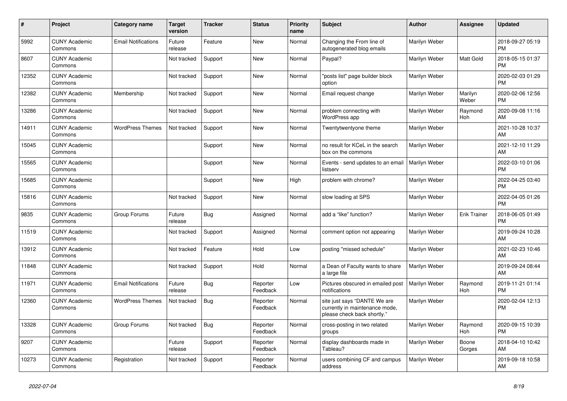| #     | <b>Project</b>                  | Category name              | <b>Target</b><br>version | <b>Tracker</b> | <b>Status</b>        | <b>Priority</b><br>name | <b>Subject</b>                                                                                | <b>Author</b> | Assignee            | <b>Updated</b>                |
|-------|---------------------------------|----------------------------|--------------------------|----------------|----------------------|-------------------------|-----------------------------------------------------------------------------------------------|---------------|---------------------|-------------------------------|
| 5992  | <b>CUNY Academic</b><br>Commons | <b>Email Notifications</b> | Future<br>release        | Feature        | New                  | Normal                  | Changing the From line of<br>autogenerated blog emails                                        | Marilyn Weber |                     | 2018-09-27 05:19<br><b>PM</b> |
| 8607  | <b>CUNY Academic</b><br>Commons |                            | Not tracked              | Support        | New                  | Normal                  | Paypal?                                                                                       | Marilyn Weber | Matt Gold           | 2018-05-15 01:37<br><b>PM</b> |
| 12352 | <b>CUNY Academic</b><br>Commons |                            | Not tracked              | Support        | New                  | Normal                  | "posts list" page builder block<br>option                                                     | Marilyn Weber |                     | 2020-02-03 01:29<br><b>PM</b> |
| 12382 | <b>CUNY Academic</b><br>Commons | Membership                 | Not tracked              | Support        | <b>New</b>           | Normal                  | Email request change                                                                          | Marilyn Weber | Marilyn<br>Weber    | 2020-02-06 12:56<br><b>PM</b> |
| 13286 | <b>CUNY Academic</b><br>Commons |                            | Not tracked              | Support        | New                  | Normal                  | problem connecting with<br>WordPress app                                                      | Marilyn Weber | Raymond<br>Hoh      | 2020-09-08 11:16<br>AM        |
| 14911 | <b>CUNY Academic</b><br>Commons | <b>WordPress Themes</b>    | Not tracked              | Support        | New                  | Normal                  | Twentytwentyone theme                                                                         | Marilyn Weber |                     | 2021-10-28 10:37<br>AM        |
| 15045 | <b>CUNY Academic</b><br>Commons |                            |                          | Support        | New                  | Normal                  | no result for KCeL in the search<br>box on the commons                                        | Marilyn Weber |                     | 2021-12-10 11:29<br>AM        |
| 15565 | <b>CUNY Academic</b><br>Commons |                            |                          | Support        | <b>New</b>           | Normal                  | Events - send updates to an email<br>listserv                                                 | Marilyn Weber |                     | 2022-03-10 01:06<br><b>PM</b> |
| 15685 | <b>CUNY Academic</b><br>Commons |                            |                          | Support        | New                  | High                    | problem with chrome?                                                                          | Marilyn Weber |                     | 2022-04-25 03:40<br><b>PM</b> |
| 15816 | <b>CUNY Academic</b><br>Commons |                            | Not tracked              | Support        | New                  | Normal                  | slow loading at SPS                                                                           | Marilyn Weber |                     | 2022-04-05 01:26<br><b>PM</b> |
| 9835  | <b>CUNY Academic</b><br>Commons | Group Forums               | Future<br>release        | Bug            | Assigned             | Normal                  | add a "like" function?                                                                        | Marilyn Weber | <b>Erik Trainer</b> | 2018-06-05 01:49<br><b>PM</b> |
| 11519 | <b>CUNY Academic</b><br>Commons |                            | Not tracked              | Support        | Assigned             | Normal                  | comment option not appearing                                                                  | Marilyn Weber |                     | 2019-09-24 10:28<br>AM        |
| 13912 | <b>CUNY Academic</b><br>Commons |                            | Not tracked              | Feature        | Hold                 | Low                     | posting "missed schedule"                                                                     | Marilyn Weber |                     | 2021-02-23 10:46<br>AM        |
| 11848 | <b>CUNY Academic</b><br>Commons |                            | Not tracked              | Support        | Hold                 | Normal                  | a Dean of Faculty wants to share<br>a large file                                              | Marilyn Weber |                     | 2019-09-24 08:44<br>AM        |
| 11971 | <b>CUNY Academic</b><br>Commons | <b>Email Notifications</b> | Future<br>release        | <b>Bug</b>     | Reporter<br>Feedback | Low                     | Pictures obscured in emailed post<br>notifications                                            | Marilyn Weber | Raymond<br>Hoh      | 2019-11-21 01:14<br><b>PM</b> |
| 12360 | <b>CUNY Academic</b><br>Commons | <b>WordPress Themes</b>    | Not tracked              | Bug            | Reporter<br>Feedback | Normal                  | site just says "DANTE We are<br>currently in maintenance mode,<br>please check back shortly." | Marilyn Weber |                     | 2020-02-04 12:13<br><b>PM</b> |
| 13328 | <b>CUNY Academic</b><br>Commons | Group Forums               | Not tracked              | Bug            | Reporter<br>Feedback | Normal                  | cross-posting in two related<br>groups                                                        | Marilyn Weber | Raymond<br>Hoh      | 2020-09-15 10:39<br><b>PM</b> |
| 9207  | <b>CUNY Academic</b><br>Commons |                            | Future<br>release        | Support        | Reporter<br>Feedback | Normal                  | display dashboards made in<br>Tableau?                                                        | Marilyn Weber | Boone<br>Gorges     | 2018-04-10 10:42<br>AM        |
| 10273 | <b>CUNY Academic</b><br>Commons | Registration               | Not tracked              | Support        | Reporter<br>Feedback | Normal                  | users combining CF and campus<br>address                                                      | Marilyn Weber |                     | 2019-09-18 10:58<br>AM        |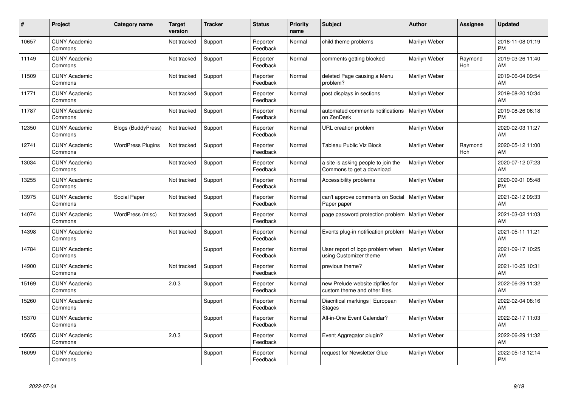| #     | Project                         | Category name             | <b>Target</b><br>version | <b>Tracker</b> | <b>Status</b>        | <b>Priority</b><br>name | <b>Subject</b>                                                    | <b>Author</b> | Assignee       | <b>Updated</b>                |
|-------|---------------------------------|---------------------------|--------------------------|----------------|----------------------|-------------------------|-------------------------------------------------------------------|---------------|----------------|-------------------------------|
| 10657 | <b>CUNY Academic</b><br>Commons |                           | Not tracked              | Support        | Reporter<br>Feedback | Normal                  | child theme problems                                              | Marilyn Weber |                | 2018-11-08 01:19<br><b>PM</b> |
| 11149 | <b>CUNY Academic</b><br>Commons |                           | Not tracked              | Support        | Reporter<br>Feedback | Normal                  | comments getting blocked                                          | Marilyn Weber | Raymond<br>Hoh | 2019-03-26 11:40<br>AM        |
| 11509 | <b>CUNY Academic</b><br>Commons |                           | Not tracked              | Support        | Reporter<br>Feedback | Normal                  | deleted Page causing a Menu<br>problem?                           | Marilyn Weber |                | 2019-06-04 09:54<br>AM        |
| 11771 | <b>CUNY Academic</b><br>Commons |                           | Not tracked              | Support        | Reporter<br>Feedback | Normal                  | post displays in sections                                         | Marilyn Weber |                | 2019-08-20 10:34<br>AM        |
| 11787 | <b>CUNY Academic</b><br>Commons |                           | Not tracked              | Support        | Reporter<br>Feedback | Normal                  | automated comments notifications<br>on ZenDesk                    | Marilyn Weber |                | 2019-08-26 06:18<br><b>PM</b> |
| 12350 | <b>CUNY Academic</b><br>Commons | <b>Blogs (BuddyPress)</b> | Not tracked              | Support        | Reporter<br>Feedback | Normal                  | URL creation problem                                              | Marilyn Weber |                | 2020-02-03 11:27<br>AM        |
| 12741 | <b>CUNY Academic</b><br>Commons | <b>WordPress Plugins</b>  | Not tracked              | Support        | Reporter<br>Feedback | Normal                  | Tableau Public Viz Block                                          | Marilyn Weber | Raymond<br>Hoh | 2020-05-12 11:00<br>AM        |
| 13034 | <b>CUNY Academic</b><br>Commons |                           | Not tracked              | Support        | Reporter<br>Feedback | Normal                  | a site is asking people to join the<br>Commons to get a download  | Marilyn Weber |                | 2020-07-12 07:23<br>AM        |
| 13255 | <b>CUNY Academic</b><br>Commons |                           | Not tracked              | Support        | Reporter<br>Feedback | Normal                  | Accessibility problems                                            | Marilyn Weber |                | 2020-09-01 05:48<br><b>PM</b> |
| 13975 | <b>CUNY Academic</b><br>Commons | Social Paper              | Not tracked              | Support        | Reporter<br>Feedback | Normal                  | can't approve comments on Social<br>Paper paper                   | Marilyn Weber |                | 2021-02-12 09:33<br>AM        |
| 14074 | <b>CUNY Academic</b><br>Commons | WordPress (misc)          | Not tracked              | Support        | Reporter<br>Feedback | Normal                  | page password protection problem                                  | Marilyn Weber |                | 2021-03-02 11:03<br>AM        |
| 14398 | <b>CUNY Academic</b><br>Commons |                           | Not tracked              | Support        | Reporter<br>Feedback | Normal                  | Events plug-in notification problem                               | Marilyn Weber |                | 2021-05-11 11:21<br>AM        |
| 14784 | <b>CUNY Academic</b><br>Commons |                           |                          | Support        | Reporter<br>Feedback | Normal                  | User report of logo problem when<br>using Customizer theme        | Marilyn Weber |                | 2021-09-17 10:25<br>AM        |
| 14900 | <b>CUNY Academic</b><br>Commons |                           | Not tracked              | Support        | Reporter<br>Feedback | Normal                  | previous theme?                                                   | Marilyn Weber |                | 2021-10-25 10:31<br>AM        |
| 15169 | <b>CUNY Academic</b><br>Commons |                           | 2.0.3                    | Support        | Reporter<br>Feedback | Normal                  | new Prelude website zipfiles for<br>custom theme and other files. | Marilyn Weber |                | 2022-06-29 11:32<br>AM        |
| 15260 | <b>CUNY Academic</b><br>Commons |                           |                          | Support        | Reporter<br>Feedback | Normal                  | Diacritical markings   European<br><b>Stages</b>                  | Marilyn Weber |                | 2022-02-04 08:16<br>AM        |
| 15370 | <b>CUNY Academic</b><br>Commons |                           |                          | Support        | Reporter<br>Feedback | Normal                  | All-in-One Event Calendar?                                        | Marilyn Weber |                | 2022-02-17 11:03<br>AM        |
| 15655 | <b>CUNY Academic</b><br>Commons |                           | 2.0.3                    | Support        | Reporter<br>Feedback | Normal                  | Event Aggregator plugin?                                          | Marilyn Weber |                | 2022-06-29 11:32<br>AM        |
| 16099 | <b>CUNY Academic</b><br>Commons |                           |                          | Support        | Reporter<br>Feedback | Normal                  | request for Newsletter Glue                                       | Marilyn Weber |                | 2022-05-13 12:14<br><b>PM</b> |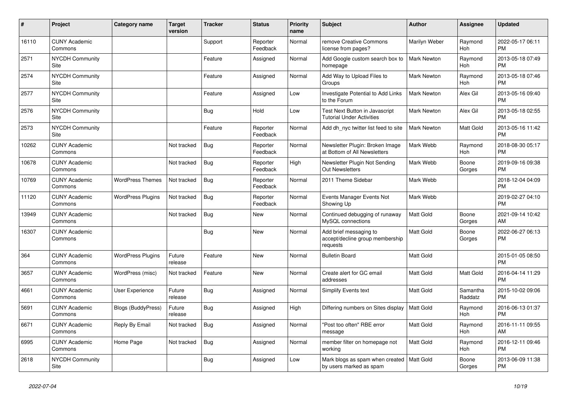| #     | Project                               | <b>Category name</b>     | <b>Target</b><br>version | <b>Tracker</b> | <b>Status</b>        | <b>Priority</b><br>name | <b>Subject</b>                                                        | <b>Author</b>      | Assignee            | <b>Updated</b>                |
|-------|---------------------------------------|--------------------------|--------------------------|----------------|----------------------|-------------------------|-----------------------------------------------------------------------|--------------------|---------------------|-------------------------------|
| 16110 | <b>CUNY Academic</b><br>Commons       |                          |                          | Support        | Reporter<br>Feedback | Normal                  | remove Creative Commons<br>license from pages?                        | Marilyn Weber      | Raymond<br>Hoh      | 2022-05-17 06:11<br><b>PM</b> |
| 2571  | <b>NYCDH Community</b><br>Site        |                          |                          | Feature        | Assigned             | Normal                  | Add Google custom search box to<br>homepage                           | <b>Mark Newton</b> | Raymond<br>Hoh      | 2013-05-18 07:49<br><b>PM</b> |
| 2574  | <b>NYCDH Community</b><br>Site        |                          |                          | Feature        | Assigned             | Normal                  | Add Way to Upload Files to<br>Groups                                  | <b>Mark Newton</b> | Raymond<br>Hoh      | 2013-05-18 07:46<br><b>PM</b> |
| 2577  | <b>NYCDH Community</b><br>Site        |                          |                          | Feature        | Assigned             | Low                     | Investigate Potential to Add Links<br>to the Forum                    | <b>Mark Newton</b> | Alex Gil            | 2013-05-16 09:40<br><b>PM</b> |
| 2576  | <b>NYCDH Community</b><br>Site        |                          |                          | Bug            | Hold                 | Low                     | Test Next Button in Javascript<br><b>Tutorial Under Activities</b>    | Mark Newton        | Alex Gil            | 2013-05-18 02:55<br><b>PM</b> |
| 2573  | <b>NYCDH Community</b><br><b>Site</b> |                          |                          | Feature        | Reporter<br>Feedback | Normal                  | Add dh_nyc twitter list feed to site                                  | <b>Mark Newton</b> | Matt Gold           | 2013-05-16 11:42<br><b>PM</b> |
| 10262 | <b>CUNY Academic</b><br>Commons       |                          | Not tracked              | <b>Bug</b>     | Reporter<br>Feedback | Normal                  | Newsletter Plugin: Broken Image<br>at Bottom of All Newsletters       | Mark Webb          | Raymond<br>Hoh      | 2018-08-30 05:17<br><b>PM</b> |
| 10678 | <b>CUNY Academic</b><br>Commons       |                          | Not tracked              | Bug            | Reporter<br>Feedback | High                    | Newsletter Plugin Not Sending<br><b>Out Newsletters</b>               | Mark Webb          | Boone<br>Gorges     | 2019-09-16 09:38<br><b>PM</b> |
| 10769 | <b>CUNY Academic</b><br>Commons       | <b>WordPress Themes</b>  | Not tracked              | Bug            | Reporter<br>Feedback | Normal                  | 2011 Theme Sidebar                                                    | Mark Webb          |                     | 2018-12-04 04:09<br><b>PM</b> |
| 11120 | <b>CUNY Academic</b><br>Commons       | <b>WordPress Plugins</b> | Not tracked              | Bug            | Reporter<br>Feedback | Normal                  | Events Manager Events Not<br>Showing Up                               | Mark Webb          |                     | 2019-02-27 04:10<br><b>PM</b> |
| 13949 | <b>CUNY Academic</b><br>Commons       |                          | Not tracked              | <b>Bug</b>     | <b>New</b>           | Normal                  | Continued debugging of runaway<br>MySQL connections                   | Matt Gold          | Boone<br>Gorges     | 2021-09-14 10:42<br>AM        |
| 16307 | <b>CUNY Academic</b><br>Commons       |                          |                          | <b>Bug</b>     | New                  | Normal                  | Add brief messaging to<br>accept/decline group membership<br>requests | Matt Gold          | Boone<br>Gorges     | 2022-06-27 06:13<br><b>PM</b> |
| 364   | <b>CUNY Academic</b><br>Commons       | <b>WordPress Plugins</b> | Future<br>release        | Feature        | <b>New</b>           | Normal                  | <b>Bulletin Board</b>                                                 | Matt Gold          |                     | 2015-01-05 08:50<br><b>PM</b> |
| 3657  | <b>CUNY Academic</b><br>Commons       | WordPress (misc)         | Not tracked              | Feature        | <b>New</b>           | Normal                  | Create alert for GC email<br>addresses                                | <b>Matt Gold</b>   | Matt Gold           | 2016-04-14 11:29<br><b>PM</b> |
| 4661  | <b>CUNY Academic</b><br>Commons       | User Experience          | Future<br>release        | Bug            | Assigned             | Normal                  | <b>Simplify Events text</b>                                           | <b>Matt Gold</b>   | Samantha<br>Raddatz | 2015-10-02 09:06<br><b>PM</b> |
| 5691  | <b>CUNY Academic</b><br>Commons       | Blogs (BuddyPress)       | Future<br>release        | <b>Bug</b>     | Assigned             | High                    | Differing numbers on Sites display                                    | Matt Gold          | Raymond<br>Hoh      | 2016-06-13 01:37<br><b>PM</b> |
| 6671  | <b>CUNY Academic</b><br>Commons       | Reply By Email           | Not tracked              | Bug            | Assigned             | Normal                  | "Post too often" RBE error<br>message                                 | Matt Gold          | Raymond<br>Hoh      | 2016-11-11 09:55<br>AM        |
| 6995  | <b>CUNY Academic</b><br>Commons       | Home Page                | Not tracked              | <b>Bug</b>     | Assigned             | Normal                  | member filter on homepage not<br>working                              | <b>Matt Gold</b>   | Raymond<br>Hoh      | 2016-12-11 09:46<br><b>PM</b> |
| 2618  | <b>NYCDH Community</b><br>Site        |                          |                          | <b>Bug</b>     | Assigned             | Low                     | Mark blogs as spam when created<br>by users marked as spam            | l Matt Gold        | Boone<br>Gorges     | 2013-06-09 11:38<br><b>PM</b> |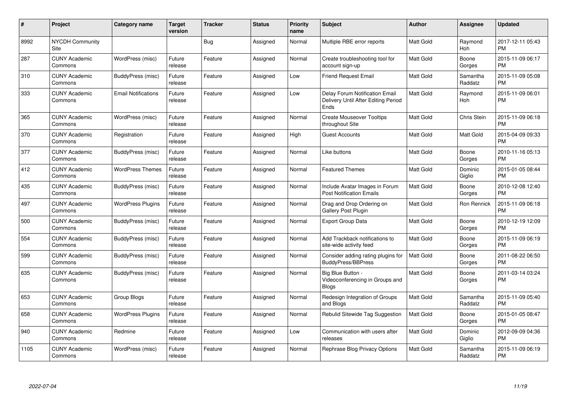| #    | Project                         | <b>Category name</b>       | <b>Target</b><br>version | <b>Tracker</b> | <b>Status</b> | Priority<br>name | <b>Subject</b>                                                                | <b>Author</b>    | <b>Assignee</b>       | <b>Updated</b>                |
|------|---------------------------------|----------------------------|--------------------------|----------------|---------------|------------------|-------------------------------------------------------------------------------|------------------|-----------------------|-------------------------------|
| 8992 | <b>NYCDH Community</b><br>Site  |                            |                          | Bug            | Assigned      | Normal           | Multiple RBE error reports                                                    | <b>Matt Gold</b> | Raymond<br>Hoh        | 2017-12-11 05:43<br><b>PM</b> |
| 287  | <b>CUNY Academic</b><br>Commons | WordPress (misc)           | Future<br>release        | Feature        | Assigned      | Normal           | Create troubleshooting tool for<br>account sign-up                            | <b>Matt Gold</b> | Boone<br>Gorges       | 2015-11-09 06:17<br><b>PM</b> |
| 310  | <b>CUNY Academic</b><br>Commons | BuddyPress (misc)          | Future<br>release        | Feature        | Assigned      | Low              | <b>Friend Request Email</b>                                                   | <b>Matt Gold</b> | Samantha<br>Raddatz   | 2015-11-09 05:08<br><b>PM</b> |
| 333  | <b>CUNY Academic</b><br>Commons | <b>Email Notifications</b> | Future<br>release        | Feature        | Assigned      | Low              | Delay Forum Notification Email<br>Delivery Until After Editing Period<br>Ends | <b>Matt Gold</b> | Raymond<br><b>Hoh</b> | 2015-11-09 06:01<br><b>PM</b> |
| 365  | <b>CUNY Academic</b><br>Commons | WordPress (misc)           | Future<br>release        | Feature        | Assigned      | Normal           | <b>Create Mouseover Tooltips</b><br>throughout Site                           | <b>Matt Gold</b> | Chris Stein           | 2015-11-09 06:18<br><b>PM</b> |
| 370  | <b>CUNY Academic</b><br>Commons | Registration               | Future<br>release        | Feature        | Assigned      | High             | <b>Guest Accounts</b>                                                         | Matt Gold        | Matt Gold             | 2015-04-09 09:33<br><b>PM</b> |
| 377  | <b>CUNY Academic</b><br>Commons | <b>BuddyPress (misc)</b>   | Future<br>release        | Feature        | Assigned      | Normal           | Like buttons                                                                  | Matt Gold        | Boone<br>Gorges       | 2010-11-16 05:13<br><b>PM</b> |
| 412  | <b>CUNY Academic</b><br>Commons | <b>WordPress Themes</b>    | Future<br>release        | Feature        | Assigned      | Normal           | <b>Featured Themes</b>                                                        | <b>Matt Gold</b> | Dominic<br>Giglio     | 2015-01-05 08:44<br><b>PM</b> |
| 435  | <b>CUNY Academic</b><br>Commons | BuddyPress (misc)          | Future<br>release        | Feature        | Assigned      | Normal           | Include Avatar Images in Forum<br><b>Post Notification Emails</b>             | <b>Matt Gold</b> | Boone<br>Gorges       | 2010-12-08 12:40<br><b>PM</b> |
| 497  | <b>CUNY Academic</b><br>Commons | <b>WordPress Plugins</b>   | Future<br>release        | Feature        | Assigned      | Normal           | Drag and Drop Ordering on<br><b>Gallery Post Plugin</b>                       | <b>Matt Gold</b> | Ron Rennick           | 2015-11-09 06:18<br><b>PM</b> |
| 500  | <b>CUNY Academic</b><br>Commons | BuddyPress (misc)          | Future<br>release        | Feature        | Assigned      | Normal           | <b>Export Group Data</b>                                                      | Matt Gold        | Boone<br>Gorges       | 2010-12-19 12:09<br><b>PM</b> |
| 554  | <b>CUNY Academic</b><br>Commons | BuddyPress (misc)          | Future<br>release        | Feature        | Assigned      | Normal           | Add Trackback notifications to<br>site-wide activity feed                     | <b>Matt Gold</b> | Boone<br>Gorges       | 2015-11-09 06:19<br><b>PM</b> |
| 599  | <b>CUNY Academic</b><br>Commons | BuddyPress (misc)          | Future<br>release        | Feature        | Assigned      | Normal           | Consider adding rating plugins for<br><b>BuddyPress/BBPress</b>               | <b>Matt Gold</b> | Boone<br>Gorges       | 2011-08-22 06:50<br><b>PM</b> |
| 635  | <b>CUNY Academic</b><br>Commons | BuddyPress (misc)          | Future<br>release        | Feature        | Assigned      | Normal           | Big Blue Button -<br>Videoconferencing in Groups and<br><b>Blogs</b>          | Matt Gold        | Boone<br>Gorges       | 2011-03-14 03:24<br><b>PM</b> |
| 653  | <b>CUNY Academic</b><br>Commons | Group Blogs                | Future<br>release        | Feature        | Assigned      | Normal           | Redesign Integration of Groups<br>and Blogs                                   | <b>Matt Gold</b> | Samantha<br>Raddatz   | 2015-11-09 05:40<br><b>PM</b> |
| 658  | <b>CUNY Academic</b><br>Commons | <b>WordPress Plugins</b>   | Future<br>release        | Feature        | Assigned      | Normal           | Rebulid Sitewide Tag Suggestion                                               | <b>Matt Gold</b> | Boone<br>Gorges       | 2015-01-05 08:47<br><b>PM</b> |
| 940  | <b>CUNY Academic</b><br>Commons | Redmine                    | Future<br>release        | Feature        | Assigned      | Low              | Communication with users after<br>releases                                    | <b>Matt Gold</b> | Dominic<br>Giglio     | 2012-09-09 04:36<br><b>PM</b> |
| 1105 | <b>CUNY Academic</b><br>Commons | WordPress (misc)           | Future<br>release        | Feature        | Assigned      | Normal           | Rephrase Blog Privacy Options                                                 | <b>Matt Gold</b> | Samantha<br>Raddatz   | 2015-11-09 06:19<br><b>PM</b> |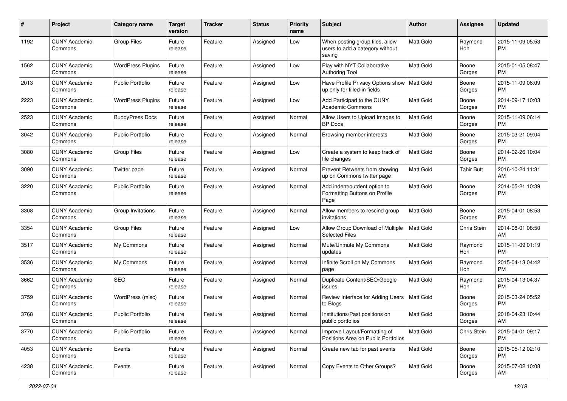| #    | Project                         | <b>Category name</b>     | <b>Target</b><br>version | <b>Tracker</b> | <b>Status</b> | <b>Priority</b><br>name | <b>Subject</b>                                                                | Author           | <b>Assignee</b>    | <b>Updated</b>                |
|------|---------------------------------|--------------------------|--------------------------|----------------|---------------|-------------------------|-------------------------------------------------------------------------------|------------------|--------------------|-------------------------------|
| 1192 | <b>CUNY Academic</b><br>Commons | <b>Group Files</b>       | Future<br>release        | Feature        | Assigned      | Low                     | When posting group files, allow<br>users to add a category without<br>saving  | <b>Matt Gold</b> | Raymond<br>Hoh     | 2015-11-09 05:53<br><b>PM</b> |
| 1562 | <b>CUNY Academic</b><br>Commons | <b>WordPress Plugins</b> | Future<br>release        | Feature        | Assigned      | Low                     | Play with NYT Collaborative<br><b>Authoring Tool</b>                          | <b>Matt Gold</b> | Boone<br>Gorges    | 2015-01-05 08:47<br><b>PM</b> |
| 2013 | <b>CUNY Academic</b><br>Commons | <b>Public Portfolio</b>  | Future<br>release        | Feature        | Assigned      | Low                     | Have Profile Privacy Options show   Matt Gold<br>up only for filled-in fields |                  | Boone<br>Gorges    | 2015-11-09 06:09<br><b>PM</b> |
| 2223 | <b>CUNY Academic</b><br>Commons | <b>WordPress Plugins</b> | Future<br>release        | Feature        | Assigned      | Low                     | Add Participad to the CUNY<br><b>Academic Commons</b>                         | <b>Matt Gold</b> | Boone<br>Gorges    | 2014-09-17 10:03<br><b>PM</b> |
| 2523 | <b>CUNY Academic</b><br>Commons | <b>BuddyPress Docs</b>   | Future<br>release        | Feature        | Assigned      | Normal                  | Allow Users to Upload Images to<br><b>BP</b> Docs                             | <b>Matt Gold</b> | Boone<br>Gorges    | 2015-11-09 06:14<br><b>PM</b> |
| 3042 | <b>CUNY Academic</b><br>Commons | Public Portfolio         | Future<br>release        | Feature        | Assigned      | Normal                  | Browsing member interests                                                     | <b>Matt Gold</b> | Boone<br>Gorges    | 2015-03-21 09:04<br><b>PM</b> |
| 3080 | <b>CUNY Academic</b><br>Commons | <b>Group Files</b>       | Future<br>release        | Feature        | Assigned      | Low                     | Create a system to keep track of<br>file changes                              | <b>Matt Gold</b> | Boone<br>Gorges    | 2014-02-26 10:04<br><b>PM</b> |
| 3090 | <b>CUNY Academic</b><br>Commons | Twitter page             | Future<br>release        | Feature        | Assigned      | Normal                  | Prevent Retweets from showing<br>up on Commons twitter page                   | Matt Gold        | Tahir Butt         | 2016-10-24 11:31<br>AM        |
| 3220 | <b>CUNY Academic</b><br>Commons | <b>Public Portfolio</b>  | Future<br>release        | Feature        | Assigned      | Normal                  | Add indent/outdent option to<br>Formatting Buttons on Profile<br>Page         | Matt Gold        | Boone<br>Gorges    | 2014-05-21 10:39<br><b>PM</b> |
| 3308 | <b>CUNY Academic</b><br>Commons | Group Invitations        | Future<br>release        | Feature        | Assigned      | Normal                  | Allow members to rescind group<br>invitations                                 | <b>Matt Gold</b> | Boone<br>Gorges    | 2015-04-01 08:53<br>PM        |
| 3354 | <b>CUNY Academic</b><br>Commons | <b>Group Files</b>       | Future<br>release        | Feature        | Assigned      | Low                     | Allow Group Download of Multiple<br><b>Selected Files</b>                     | <b>Matt Gold</b> | <b>Chris Stein</b> | 2014-08-01 08:50<br>AM        |
| 3517 | <b>CUNY Academic</b><br>Commons | My Commons               | Future<br>release        | Feature        | Assigned      | Normal                  | Mute/Unmute My Commons<br>updates                                             | Matt Gold        | Raymond<br>Hoh     | 2015-11-09 01:19<br><b>PM</b> |
| 3536 | <b>CUNY Academic</b><br>Commons | My Commons               | Future<br>release        | Feature        | Assigned      | Normal                  | Infinite Scroll on My Commons<br>page                                         | <b>Matt Gold</b> | Raymond<br>Hoh     | 2015-04-13 04:42<br><b>PM</b> |
| 3662 | <b>CUNY Academic</b><br>Commons | SEO                      | Future<br>release        | Feature        | Assigned      | Normal                  | Duplicate Content/SEO/Google<br>issues                                        | <b>Matt Gold</b> | Raymond<br>Hoh     | 2015-04-13 04:37<br><b>PM</b> |
| 3759 | <b>CUNY Academic</b><br>Commons | WordPress (misc)         | Future<br>release        | Feature        | Assigned      | Normal                  | Review Interface for Adding Users   Matt Gold<br>to Blogs                     |                  | Boone<br>Gorges    | 2015-03-24 05:52<br><b>PM</b> |
| 3768 | <b>CUNY Academic</b><br>Commons | <b>Public Portfolio</b>  | Future<br>release        | Feature        | Assigned      | Normal                  | Institutions/Past positions on<br>public portfolios                           | Matt Gold        | Boone<br>Gorges    | 2018-04-23 10:44<br>AM        |
| 3770 | <b>CUNY Academic</b><br>Commons | <b>Public Portfolio</b>  | Future<br>release        | Feature        | Assigned      | Normal                  | Improve Layout/Formatting of<br>Positions Area on Public Portfolios           | Matt Gold        | Chris Stein        | 2015-04-01 09:17<br><b>PM</b> |
| 4053 | <b>CUNY Academic</b><br>Commons | Events                   | Future<br>release        | Feature        | Assigned      | Normal                  | Create new tab for past events                                                | Matt Gold        | Boone<br>Gorges    | 2015-05-12 02:10<br>PM        |
| 4238 | <b>CUNY Academic</b><br>Commons | Events                   | Future<br>release        | Feature        | Assigned      | Normal                  | Copy Events to Other Groups?                                                  | Matt Gold        | Boone<br>Gorges    | 2015-07-02 10:08<br>AM        |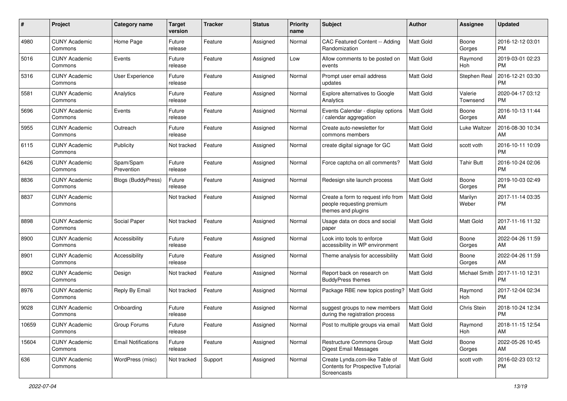| #     | Project                         | <b>Category name</b>       | <b>Target</b><br>version | <b>Tracker</b> | <b>Status</b> | Priority<br>name | <b>Subject</b>                                                                            | Author           | <b>Assignee</b>     | <b>Updated</b>                |
|-------|---------------------------------|----------------------------|--------------------------|----------------|---------------|------------------|-------------------------------------------------------------------------------------------|------------------|---------------------|-------------------------------|
| 4980  | <b>CUNY Academic</b><br>Commons | Home Page                  | Future<br>release        | Feature        | Assigned      | Normal           | CAC Featured Content -- Adding<br>Randomization                                           | <b>Matt Gold</b> | Boone<br>Gorges     | 2016-12-12 03:01<br><b>PM</b> |
| 5016  | <b>CUNY Academic</b><br>Commons | Events                     | Future<br>release        | Feature        | Assigned      | Low              | Allow comments to be posted on<br>events                                                  | <b>Matt Gold</b> | Raymond<br>Hoh      | 2019-03-01 02:23<br><b>PM</b> |
| 5316  | <b>CUNY Academic</b><br>Commons | <b>User Experience</b>     | Future<br>release        | Feature        | Assigned      | Normal           | Prompt user email address<br>updates                                                      | Matt Gold        | Stephen Real        | 2016-12-21 03:30<br><b>PM</b> |
| 5581  | <b>CUNY Academic</b><br>Commons | Analytics                  | Future<br>release        | Feature        | Assigned      | Normal           | Explore alternatives to Google<br>Analytics                                               | <b>Matt Gold</b> | Valerie<br>Townsend | 2020-04-17 03:12<br><b>PM</b> |
| 5696  | <b>CUNY Academic</b><br>Commons | Events                     | Future<br>release        | Feature        | Assigned      | Normal           | Events Calendar - display options<br>/ calendar aggregation                               | <b>Matt Gold</b> | Boone<br>Gorges     | 2016-10-13 11:44<br>AM        |
| 5955  | <b>CUNY Academic</b><br>Commons | Outreach                   | Future<br>release        | Feature        | Assigned      | Normal           | Create auto-newsletter for<br>commons members                                             | <b>Matt Gold</b> | Luke Waltzer        | 2016-08-30 10:34<br>AM        |
| 6115  | <b>CUNY Academic</b><br>Commons | Publicity                  | Not tracked              | Feature        | Assigned      | Normal           | create digital signage for GC                                                             | Matt Gold        | scott voth          | 2016-10-11 10:09<br><b>PM</b> |
| 6426  | <b>CUNY Academic</b><br>Commons | Spam/Spam<br>Prevention    | Future<br>release        | Feature        | Assigned      | Normal           | Force captcha on all comments?                                                            | <b>Matt Gold</b> | <b>Tahir Butt</b>   | 2016-10-24 02:06<br><b>PM</b> |
| 8836  | <b>CUNY Academic</b><br>Commons | Blogs (BuddyPress)         | Future<br>release        | Feature        | Assigned      | Normal           | Redesign site launch process                                                              | Matt Gold        | Boone<br>Gorges     | 2019-10-03 02:49<br><b>PM</b> |
| 8837  | <b>CUNY Academic</b><br>Commons |                            | Not tracked              | Feature        | Assigned      | Normal           | Create a form to request info from<br>people requesting premium<br>themes and plugins     | <b>Matt Gold</b> | Marilyn<br>Weber    | 2017-11-14 03:35<br>PM        |
| 8898  | <b>CUNY Academic</b><br>Commons | Social Paper               | Not tracked              | Feature        | Assigned      | Normal           | Usage data on docs and social<br>paper                                                    | <b>Matt Gold</b> | Matt Gold           | 2017-11-16 11:32<br>AM        |
| 8900  | <b>CUNY Academic</b><br>Commons | Accessibility              | Future<br>release        | Feature        | Assigned      | Normal           | Look into tools to enforce<br>accessibility in WP environment                             | <b>Matt Gold</b> | Boone<br>Gorges     | 2022-04-26 11:59<br>AM        |
| 8901  | <b>CUNY Academic</b><br>Commons | Accessibility              | Future<br>release        | Feature        | Assigned      | Normal           | Theme analysis for accessibility                                                          | <b>Matt Gold</b> | Boone<br>Gorges     | 2022-04-26 11:59<br>AM        |
| 8902  | <b>CUNY Academic</b><br>Commons | Design                     | Not tracked              | Feature        | Assigned      | Normal           | Report back on research on<br><b>BuddyPress themes</b>                                    | <b>Matt Gold</b> | Michael Smith       | 2017-11-10 12:31<br><b>PM</b> |
| 8976  | <b>CUNY Academic</b><br>Commons | Reply By Email             | Not tracked              | Feature        | Assigned      | Normal           | Package RBE new topics posting?                                                           | <b>Matt Gold</b> | Raymond<br>Hoh      | 2017-12-04 02:34<br><b>PM</b> |
| 9028  | <b>CUNY Academic</b><br>Commons | Onboarding                 | Future<br>release        | Feature        | Assigned      | Normal           | suggest groups to new members<br>during the registration process                          | <b>Matt Gold</b> | Chris Stein         | 2018-10-24 12:34<br><b>PM</b> |
| 10659 | <b>CUNY Academic</b><br>Commons | Group Forums               | Future<br>release        | Feature        | Assigned      | Normal           | Post to multiple groups via email                                                         | Matt Gold        | Raymond<br>Hoh      | 2018-11-15 12:54<br>AM        |
| 15604 | <b>CUNY Academic</b><br>Commons | <b>Email Notifications</b> | Future<br>release        | Feature        | Assigned      | Normal           | Restructure Commons Group<br><b>Digest Email Messages</b>                                 | Matt Gold        | Boone<br>Gorges     | 2022-05-26 10:45<br>AM        |
| 636   | <b>CUNY Academic</b><br>Commons | WordPress (misc)           | Not tracked              | Support        | Assigned      | Normal           | Create Lynda.com-like Table of<br><b>Contents for Prospective Tutorial</b><br>Screencasts | Matt Gold        | scott voth          | 2016-02-23 03:12<br><b>PM</b> |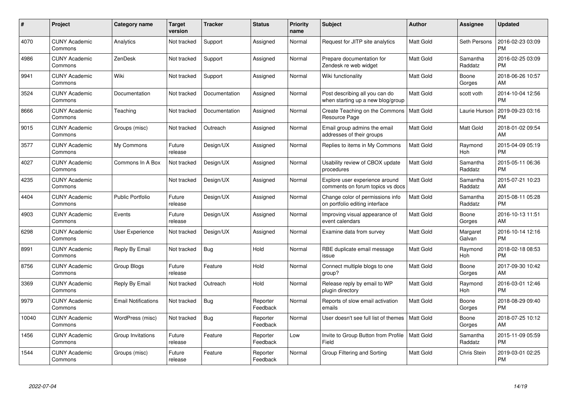| $\pmb{\#}$ | Project                         | <b>Category name</b>       | <b>Target</b><br>version | <b>Tracker</b> | <b>Status</b>        | Priority<br>name | <b>Subject</b>                                                      | <b>Author</b>    | <b>Assignee</b>     | <b>Updated</b>                |
|------------|---------------------------------|----------------------------|--------------------------|----------------|----------------------|------------------|---------------------------------------------------------------------|------------------|---------------------|-------------------------------|
| 4070       | <b>CUNY Academic</b><br>Commons | Analytics                  | Not tracked              | Support        | Assigned             | Normal           | Request for JITP site analytics                                     | <b>Matt Gold</b> | Seth Persons        | 2016-02-23 03:09<br><b>PM</b> |
| 4986       | <b>CUNY Academic</b><br>Commons | <b>ZenDesk</b>             | Not tracked              | Support        | Assigned             | Normal           | Prepare documentation for<br>Zendesk re web widget                  | <b>Matt Gold</b> | Samantha<br>Raddatz | 2016-02-25 03:09<br><b>PM</b> |
| 9941       | <b>CUNY Academic</b><br>Commons | Wiki                       | Not tracked              | Support        | Assigned             | Normal           | Wiki functionality                                                  | Matt Gold        | Boone<br>Gorges     | 2018-06-26 10:57<br>AM        |
| 3524       | <b>CUNY Academic</b><br>Commons | Documentation              | Not tracked              | Documentation  | Assigned             | Normal           | Post describing all you can do<br>when starting up a new blog/group | Matt Gold        | scott voth          | 2014-10-04 12:56<br><b>PM</b> |
| 8666       | <b>CUNY Academic</b><br>Commons | Teaching                   | Not tracked              | Documentation  | Assigned             | Normal           | Create Teaching on the Commons<br>Resource Page                     | Matt Gold        | Laurie Hurson       | 2019-09-23 03:16<br><b>PM</b> |
| 9015       | <b>CUNY Academic</b><br>Commons | Groups (misc)              | Not tracked              | Outreach       | Assigned             | Normal           | Email group admins the email<br>addresses of their groups           | <b>Matt Gold</b> | Matt Gold           | 2018-01-02 09:54<br>AM        |
| 3577       | <b>CUNY Academic</b><br>Commons | My Commons                 | Future<br>release        | Design/UX      | Assigned             | Normal           | Replies to items in My Commons                                      | <b>Matt Gold</b> | Raymond<br>Hoh      | 2015-04-09 05:19<br><b>PM</b> |
| 4027       | <b>CUNY Academic</b><br>Commons | Commons In A Box           | Not tracked              | Design/UX      | Assigned             | Normal           | Usability review of CBOX update<br>procedures                       | Matt Gold        | Samantha<br>Raddatz | 2015-05-11 06:36<br><b>PM</b> |
| 4235       | <b>CUNY Academic</b><br>Commons |                            | Not tracked              | Design/UX      | Assigned             | Normal           | Explore user experience around<br>comments on forum topics vs docs  | Matt Gold        | Samantha<br>Raddatz | 2015-07-21 10:23<br>AM        |
| 4404       | <b>CUNY Academic</b><br>Commons | <b>Public Portfolio</b>    | Future<br>release        | Design/UX      | Assigned             | Normal           | Change color of permissions info<br>on portfolio editing interface  | Matt Gold        | Samantha<br>Raddatz | 2015-08-11 05:28<br><b>PM</b> |
| 4903       | <b>CUNY Academic</b><br>Commons | Events                     | Future<br>release        | Design/UX      | Assigned             | Normal           | Improving visual appearance of<br>event calendars                   | Matt Gold        | Boone<br>Gorges     | 2016-10-13 11:51<br>AM        |
| 6298       | <b>CUNY Academic</b><br>Commons | User Experience            | Not tracked              | Design/UX      | Assigned             | Normal           | Examine data from survey                                            | Matt Gold        | Margaret<br>Galvan  | 2016-10-14 12:16<br><b>PM</b> |
| 8991       | <b>CUNY Academic</b><br>Commons | Reply By Email             | Not tracked              | <b>Bug</b>     | Hold                 | Normal           | RBE duplicate email message<br>issue                                | Matt Gold        | Raymond<br>Hoh      | 2018-02-18 08:53<br><b>PM</b> |
| 8756       | <b>CUNY Academic</b><br>Commons | Group Blogs                | Future<br>release        | Feature        | Hold                 | Normal           | Connect multiple blogs to one<br>group?                             | Matt Gold        | Boone<br>Gorges     | 2017-09-30 10:42<br>AM        |
| 3369       | <b>CUNY Academic</b><br>Commons | Reply By Email             | Not tracked              | Outreach       | Hold                 | Normal           | Release reply by email to WP<br>plugin directory                    | Matt Gold        | Raymond<br>Hoh      | 2016-03-01 12:46<br><b>PM</b> |
| 9979       | <b>CUNY Academic</b><br>Commons | <b>Email Notifications</b> | Not tracked              | Bug            | Reporter<br>Feedback | Normal           | Reports of slow email activation<br>emails                          | Matt Gold        | Boone<br>Gorges     | 2018-08-29 09:40<br><b>PM</b> |
| 10040      | <b>CUNY Academic</b><br>Commons | WordPress (misc)           | Not tracked              | Bug            | Reporter<br>Feedback | Normal           | User doesn't see full list of themes                                | <b>Matt Gold</b> | Boone<br>Gorges     | 2018-07-25 10:12<br>AM        |
| 1456       | <b>CUNY Academic</b><br>Commons | Group Invitations          | Future<br>release        | Feature        | Reporter<br>Feedback | Low              | Invite to Group Button from Profile<br>Field                        | Matt Gold        | Samantha<br>Raddatz | 2015-11-09 05:59<br><b>PM</b> |
| 1544       | <b>CUNY Academic</b><br>Commons | Groups (misc)              | Future<br>release        | Feature        | Reporter<br>Feedback | Normal           | Group Filtering and Sorting                                         | <b>Matt Gold</b> | Chris Stein         | 2019-03-01 02:25<br>PM        |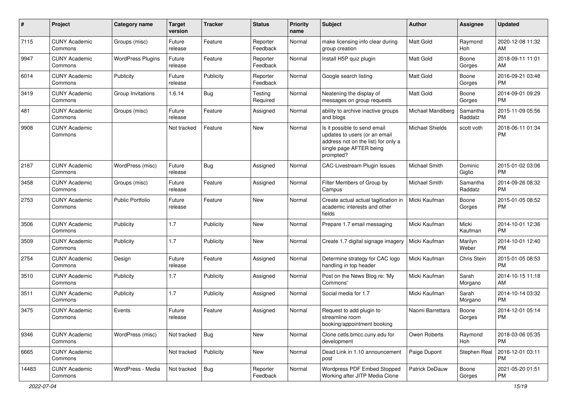| #     | Project                         | Category name            | <b>Target</b><br>version | <b>Tracker</b> | <b>Status</b>        | <b>Priority</b><br>name | Subject                                                                                                                                      | Author                 | <b>Assignee</b>     | <b>Updated</b>                |
|-------|---------------------------------|--------------------------|--------------------------|----------------|----------------------|-------------------------|----------------------------------------------------------------------------------------------------------------------------------------------|------------------------|---------------------|-------------------------------|
| 7115  | <b>CUNY Academic</b><br>Commons | Groups (misc)            | Future<br>release        | Feature        | Reporter<br>Feedback | Normal                  | make licensing info clear during<br>group creation                                                                                           | <b>Matt Gold</b>       | Raymond<br>Hoh      | 2020-12-08 11:32<br>AM        |
| 9947  | <b>CUNY Academic</b><br>Commons | <b>WordPress Plugins</b> | Future<br>release        | Feature        | Reporter<br>Feedback | Normal                  | Install H5P quiz plugin                                                                                                                      | Matt Gold              | Boone<br>Gorges     | 2018-09-11 11:01<br>AM        |
| 6014  | <b>CUNY Academic</b><br>Commons | Publicity                | Future<br>release        | Publicity      | Reporter<br>Feedback | Normal                  | Google search listing                                                                                                                        | Matt Gold              | Boone<br>Gorges     | 2016-09-21 03:48<br><b>PM</b> |
| 3419  | <b>CUNY Academic</b><br>Commons | Group Invitations        | 1.6.14                   | Bug            | Testing<br>Required  | Normal                  | Neatening the display of<br>messages on group requests                                                                                       | <b>Matt Gold</b>       | Boone<br>Gorges     | 2014-09-01 09:29<br><b>PM</b> |
| 481   | <b>CUNY Academic</b><br>Commons | Groups (misc)            | Future<br>release        | Feature        | Assigned             | Normal                  | ability to archive inactive groups<br>and blogs                                                                                              | Michael Mandiberg      | Samantha<br>Raddatz | 2015-11-09 05:56<br><b>PM</b> |
| 9908  | <b>CUNY Academic</b><br>Commons |                          | Not tracked              | Feature        | <b>New</b>           | Normal                  | Is it possible to send email<br>updates to users (or an email<br>address not on the list) for only a<br>single page AFTER being<br>prompted? | <b>Michael Shields</b> | scott voth          | 2018-06-11 01:34<br><b>PM</b> |
| 2167  | <b>CUNY Academic</b><br>Commons | WordPress (misc)         | Future<br>release        | Bug            | Assigned             | Normal                  | CAC-Livestream Plugin Issues                                                                                                                 | <b>Michael Smith</b>   | Dominic<br>Giglio   | 2015-01-02 03:06<br><b>PM</b> |
| 3458  | <b>CUNY Academic</b><br>Commons | Groups (misc)            | Future<br>release        | Feature        | Assigned             | Normal                  | Filter Members of Group by<br>Campus                                                                                                         | <b>Michael Smith</b>   | Samantha<br>Raddatz | 2014-09-26 08:32<br><b>PM</b> |
| 2753  | <b>CUNY Academic</b><br>Commons | <b>Public Portfolio</b>  | Future<br>release        | Feature        | New                  | Normal                  | Create actual actual tagification in<br>academic interests and other<br>fields                                                               | Micki Kaufman          | Boone<br>Gorges     | 2015-01-05 08:52<br><b>PM</b> |
| 3506  | <b>CUNY Academic</b><br>Commons | Publicity                | 1.7                      | Publicity      | <b>New</b>           | Normal                  | Prepare 1.7 email messaging                                                                                                                  | Micki Kaufman          | Micki<br>Kaufman    | 2014-10-01 12:36<br><b>PM</b> |
| 3509  | <b>CUNY Academic</b><br>Commons | Publicity                | 1.7                      | Publicity      | <b>New</b>           | Normal                  | Create 1.7 digital signage imagery                                                                                                           | Micki Kaufman          | Marilyn<br>Weber    | 2014-10-01 12:40<br><b>PM</b> |
| 2754  | <b>CUNY Academic</b><br>Commons | Design                   | Future<br>release        | Feature        | Assigned             | Normal                  | Determine strategy for CAC logo<br>handling in top header                                                                                    | Micki Kaufman          | Chris Stein         | 2015-01-05 08:53<br><b>PM</b> |
| 3510  | <b>CUNY Academic</b><br>Commons | Publicity                | 1.7                      | Publicity      | Assigned             | Normal                  | Post on the News Blog re: 'My<br>Commons'                                                                                                    | Micki Kaufman          | Sarah<br>Morgano    | 2014-10-15 11:18<br>AM        |
| 3511  | <b>CUNY Academic</b><br>Commons | Publicity                | 1.7                      | Publicity      | Assigned             | Normal                  | Social media for 1.7                                                                                                                         | Micki Kaufman          | Sarah<br>Morgano    | 2014-10-14 03:32<br><b>PM</b> |
| 3475  | <b>CUNY Academic</b><br>Commons | Events                   | Future<br>release        | Feature        | Assigned             | Normal                  | Request to add plugin to<br>streamline room<br>booking/appointment booking                                                                   | Naomi Barrettara       | Boone<br>Gorges     | 2014-12-01 05:14<br><b>PM</b> |
| 9346  | <b>CUNY Academic</b><br>Commons | WordPress (misc)         | Not tracked              | Bug            | New                  | Normal                  | Clone cetls.bmcc.cuny.edu for<br>development                                                                                                 | Owen Roberts           | Raymond<br>Hoh      | 2018-03-06 05:35<br><b>PM</b> |
| 6665  | <b>CUNY Academic</b><br>Commons |                          | Not tracked              | Publicity      | New                  | Normal                  | Dead Link in 1.10 announcement<br>post                                                                                                       | Paige Dupont           | Stephen Real        | 2016-12-01 03:11<br><b>PM</b> |
| 14483 | <b>CUNY Academic</b><br>Commons | WordPress - Media        | Not tracked              | Bug            | Reporter<br>Feedback | Normal                  | Wordpress PDF Embed Stopped<br>Working after JITP Media Clone                                                                                | Patrick DeDauw         | Boone<br>Gorges     | 2021-05-20 01:51<br>PM        |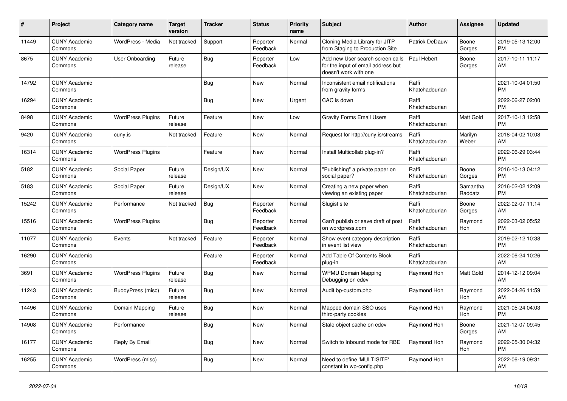| #     | Project                         | Category name            | <b>Target</b><br>version | <b>Tracker</b> | <b>Status</b>        | <b>Priority</b><br>name | <b>Subject</b>                                                                                  | <b>Author</b>           | Assignee            | <b>Updated</b>                |
|-------|---------------------------------|--------------------------|--------------------------|----------------|----------------------|-------------------------|-------------------------------------------------------------------------------------------------|-------------------------|---------------------|-------------------------------|
| 11449 | <b>CUNY Academic</b><br>Commons | WordPress - Media        | Not tracked              | Support        | Reporter<br>Feedback | Normal                  | Cloning Media Library for JITP<br>from Staging to Production Site                               | Patrick DeDauw          | Boone<br>Gorges     | 2019-05-13 12:00<br><b>PM</b> |
| 8675  | <b>CUNY Academic</b><br>Commons | User Onboarding          | Future<br>release        | Bug            | Reporter<br>Feedback | Low                     | Add new User search screen calls<br>for the input of email address but<br>doesn't work with one | Paul Hebert             | Boone<br>Gorges     | 2017-10-11 11:17<br>AM        |
| 14792 | <b>CUNY Academic</b><br>Commons |                          |                          | Bug            | <b>New</b>           | Normal                  | Inconsistent email notifications<br>from gravity forms                                          | Raffi<br>Khatchadourian |                     | 2021-10-04 01:50<br><b>PM</b> |
| 16294 | <b>CUNY Academic</b><br>Commons |                          |                          | <b>Bug</b>     | <b>New</b>           | Urgent                  | CAC is down                                                                                     | Raffi<br>Khatchadourian |                     | 2022-06-27 02:00<br><b>PM</b> |
| 8498  | <b>CUNY Academic</b><br>Commons | <b>WordPress Plugins</b> | Future<br>release        | Feature        | <b>New</b>           | Low                     | <b>Gravity Forms Email Users</b>                                                                | Raffi<br>Khatchadourian | Matt Gold           | 2017-10-13 12:58<br><b>PM</b> |
| 9420  | <b>CUNY Academic</b><br>Commons | cuny.is                  | Not tracked              | Feature        | <b>New</b>           | Normal                  | Request for http://cuny.is/streams                                                              | Raffi<br>Khatchadourian | Marilyn<br>Weber    | 2018-04-02 10:08<br>AM        |
| 16314 | <b>CUNY Academic</b><br>Commons | <b>WordPress Plugins</b> |                          | Feature        | <b>New</b>           | Normal                  | Install Multicollab plug-in?                                                                    | Raffi<br>Khatchadourian |                     | 2022-06-29 03:44<br><b>PM</b> |
| 5182  | <b>CUNY Academic</b><br>Commons | Social Paper             | Future<br>release        | Design/UX      | <b>New</b>           | Normal                  | "Publishing" a private paper on<br>social paper?                                                | Raffi<br>Khatchadourian | Boone<br>Gorges     | 2016-10-13 04:12<br><b>PM</b> |
| 5183  | <b>CUNY Academic</b><br>Commons | Social Paper             | Future<br>release        | Design/UX      | New                  | Normal                  | Creating a new paper when<br>viewing an existing paper                                          | Raffi<br>Khatchadourian | Samantha<br>Raddatz | 2016-02-02 12:09<br><b>PM</b> |
| 15242 | <b>CUNY Academic</b><br>Commons | Performance              | Not tracked              | <b>Bug</b>     | Reporter<br>Feedback | Normal                  | Slugist site                                                                                    | Raffi<br>Khatchadourian | Boone<br>Gorges     | 2022-02-07 11:14<br>AM        |
| 15516 | <b>CUNY Academic</b><br>Commons | <b>WordPress Plugins</b> |                          | Bug            | Reporter<br>Feedback | Normal                  | Can't publish or save draft of post<br>on wordpress.com                                         | Raffi<br>Khatchadourian | Raymond<br>Hoh      | 2022-03-02 05:52<br><b>PM</b> |
| 11077 | <b>CUNY Academic</b><br>Commons | Events                   | Not tracked              | Feature        | Reporter<br>Feedback | Normal                  | Show event category description<br>in event list view                                           | Raffi<br>Khatchadourian |                     | 2019-02-12 10:38<br><b>PM</b> |
| 16290 | <b>CUNY Academic</b><br>Commons |                          |                          | Feature        | Reporter<br>Feedback | Normal                  | Add Table Of Contents Block<br>plug-in                                                          | Raffi<br>Khatchadourian |                     | 2022-06-24 10:26<br>AM        |
| 3691  | <b>CUNY Academic</b><br>Commons | <b>WordPress Plugins</b> | Future<br>release        | Bug            | <b>New</b>           | Normal                  | <b>WPMU Domain Mapping</b><br>Debugging on cdev                                                 | Raymond Hoh             | Matt Gold           | 2014-12-12 09:04<br>AM        |
| 11243 | <b>CUNY Academic</b><br>Commons | BuddyPress (misc)        | Future<br>release        | Bug            | <b>New</b>           | Normal                  | Audit bp-custom.php                                                                             | Raymond Hoh             | Raymond<br>Hoh      | 2022-04-26 11:59<br>AM        |
| 14496 | <b>CUNY Academic</b><br>Commons | Domain Mapping           | Future<br>release        | Bug            | <b>New</b>           | Normal                  | Mapped domain SSO uses<br>third-party cookies                                                   | Raymond Hoh             | Raymond<br>Hoh      | 2021-05-24 04:03<br><b>PM</b> |
| 14908 | <b>CUNY Academic</b><br>Commons | Performance              |                          | Bug            | <b>New</b>           | Normal                  | Stale object cache on cdev                                                                      | Raymond Hoh             | Boone<br>Gorges     | 2021-12-07 09:45<br>AM        |
| 16177 | <b>CUNY Academic</b><br>Commons | Reply By Email           |                          | <b>Bug</b>     | <b>New</b>           | Normal                  | Switch to Inbound mode for RBE                                                                  | Raymond Hoh             | Raymond<br>Hoh      | 2022-05-30 04:32<br><b>PM</b> |
| 16255 | <b>CUNY Academic</b><br>Commons | WordPress (misc)         |                          | <b>Bug</b>     | <b>New</b>           | Normal                  | Need to define 'MULTISITE'<br>constant in wp-config.php                                         | Raymond Hoh             |                     | 2022-06-19 09:31<br>AM        |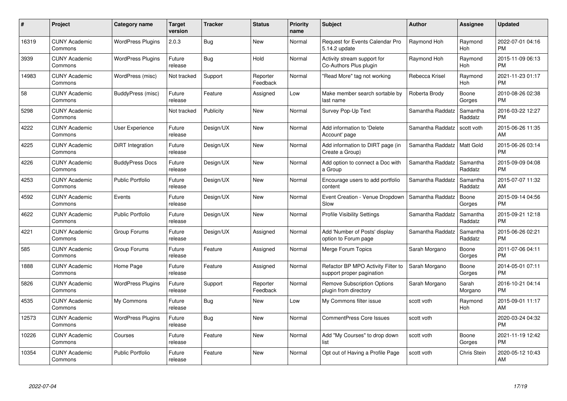| #     | Project                         | <b>Category name</b>     | <b>Target</b><br>version | <b>Tracker</b> | <b>Status</b>        | <b>Priority</b><br>name | <b>Subject</b>                                                  | <b>Author</b>    | Assignee            | <b>Updated</b>                |
|-------|---------------------------------|--------------------------|--------------------------|----------------|----------------------|-------------------------|-----------------------------------------------------------------|------------------|---------------------|-------------------------------|
| 16319 | <b>CUNY Academic</b><br>Commons | <b>WordPress Plugins</b> | 2.0.3                    | Bug            | <b>New</b>           | Normal                  | Request for Events Calendar Pro<br>5.14.2 update                | Raymond Hoh      | Raymond<br>Hoh      | 2022-07-01 04:16<br><b>PM</b> |
| 3939  | <b>CUNY Academic</b><br>Commons | <b>WordPress Plugins</b> | Future<br>release        | <b>Bug</b>     | Hold                 | Normal                  | Activity stream support for<br>Co-Authors Plus plugin           | Raymond Hoh      | Raymond<br>Hoh      | 2015-11-09 06:13<br><b>PM</b> |
| 14983 | <b>CUNY Academic</b><br>Commons | WordPress (misc)         | Not tracked              | Support        | Reporter<br>Feedback | Normal                  | "Read More" tag not working                                     | Rebecca Krisel   | Raymond<br>Hoh      | 2021-11-23 01:17<br><b>PM</b> |
| 58    | <b>CUNY Academic</b><br>Commons | BuddyPress (misc)        | Future<br>release        | Feature        | Assigned             | Low                     | Make member search sortable by<br>last name                     | Roberta Brody    | Boone<br>Gorges     | 2010-08-26 02:38<br><b>PM</b> |
| 5298  | <b>CUNY Academic</b><br>Commons |                          | Not tracked              | Publicity      | <b>New</b>           | Normal                  | Survey Pop-Up Text                                              | Samantha Raddatz | Samantha<br>Raddatz | 2016-03-22 12:27<br><b>PM</b> |
| 4222  | <b>CUNY Academic</b><br>Commons | User Experience          | Future<br>release        | Design/UX      | <b>New</b>           | Normal                  | Add information to 'Delete<br>Account' page                     | Samantha Raddatz | scott voth          | 2015-06-26 11:35<br>AM        |
| 4225  | <b>CUNY Academic</b><br>Commons | DiRT Integration         | Future<br>release        | Design/UX      | <b>New</b>           | Normal                  | Add information to DIRT page (in<br>Create a Group)             | Samantha Raddatz | Matt Gold           | 2015-06-26 03:14<br><b>PM</b> |
| 4226  | <b>CUNY Academic</b><br>Commons | <b>BuddyPress Docs</b>   | Future<br>release        | Design/UX      | <b>New</b>           | Normal                  | Add option to connect a Doc with<br>a Group                     | Samantha Raddatz | Samantha<br>Raddatz | 2015-09-09 04:08<br><b>PM</b> |
| 4253  | <b>CUNY Academic</b><br>Commons | <b>Public Portfolio</b>  | Future<br>release        | Design/UX      | New                  | Normal                  | Encourage users to add portfolio<br>content                     | Samantha Raddatz | Samantha<br>Raddatz | 2015-07-07 11:32<br>AM        |
| 4592  | <b>CUNY Academic</b><br>Commons | Events                   | Future<br>release        | Design/UX      | <b>New</b>           | Normal                  | Event Creation - Venue Dropdown<br>Slow                         | Samantha Raddatz | Boone<br>Gorges     | 2015-09-14 04:56<br><b>PM</b> |
| 4622  | <b>CUNY Academic</b><br>Commons | <b>Public Portfolio</b>  | Future<br>release        | Design/UX      | New                  | Normal                  | <b>Profile Visibility Settings</b>                              | Samantha Raddatz | Samantha<br>Raddatz | 2015-09-21 12:18<br><b>PM</b> |
| 4221  | <b>CUNY Academic</b><br>Commons | Group Forums             | Future<br>release        | Design/UX      | Assigned             | Normal                  | Add 'Number of Posts' display<br>option to Forum page           | Samantha Raddatz | Samantha<br>Raddatz | 2015-06-26 02:21<br><b>PM</b> |
| 585   | <b>CUNY Academic</b><br>Commons | Group Forums             | Future<br>release        | Feature        | Assigned             | Normal                  | Merge Forum Topics                                              | Sarah Morgano    | Boone<br>Gorges     | 2011-07-06 04:11<br><b>PM</b> |
| 1888  | <b>CUNY Academic</b><br>Commons | Home Page                | Future<br>release        | Feature        | Assigned             | Normal                  | Refactor BP MPO Activity Filter to<br>support proper pagination | Sarah Morgano    | Boone<br>Gorges     | 2014-05-01 07:11<br>PM        |
| 5826  | <b>CUNY Academic</b><br>Commons | <b>WordPress Plugins</b> | Future<br>release        | Support        | Reporter<br>Feedback | Normal                  | Remove Subscription Options<br>plugin from directory            | Sarah Morgano    | Sarah<br>Morgano    | 2016-10-21 04:14<br><b>PM</b> |
| 4535  | <b>CUNY Academic</b><br>Commons | My Commons               | Future<br>release        | Bug            | New                  | Low                     | My Commons filter issue                                         | scott voth       | Raymond<br>Hoh      | 2015-09-01 11:17<br>AM        |
| 12573 | <b>CUNY Academic</b><br>Commons | <b>WordPress Plugins</b> | Future<br>release        | Bug            | New                  | Normal                  | CommentPress Core Issues                                        | scott voth       |                     | 2020-03-24 04:32<br><b>PM</b> |
| 10226 | <b>CUNY Academic</b><br>Commons | Courses                  | Future<br>release        | Feature        | <b>New</b>           | Normal                  | Add "My Courses" to drop down<br>list                           | scott voth       | Boone<br>Gorges     | 2021-11-19 12:42<br><b>PM</b> |
| 10354 | CUNY Academic<br>Commons        | <b>Public Portfolio</b>  | Future<br>release        | Feature        | <b>New</b>           | Normal                  | Opt out of Having a Profile Page                                | scott voth       | <b>Chris Stein</b>  | 2020-05-12 10:43<br>AM        |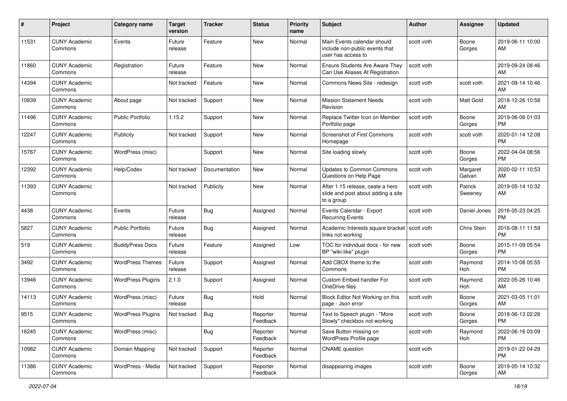| #     | Project                         | <b>Category name</b>     | <b>Target</b><br>version | Tracker       | <b>Status</b>        | <b>Priority</b><br>name | Subject                                                                              | Author     | Assignee           | <b>Updated</b>                |
|-------|---------------------------------|--------------------------|--------------------------|---------------|----------------------|-------------------------|--------------------------------------------------------------------------------------|------------|--------------------|-------------------------------|
| 11531 | <b>CUNY Academic</b><br>Commons | Events                   | Future<br>release        | Feature       | <b>New</b>           | Normal                  | Main Events calendar should<br>include non-public events that<br>user has access to  | scott voth | Boone<br>Gorges    | 2019-06-11 10:00<br>AM        |
| 11860 | <b>CUNY Academic</b><br>Commons | Registration             | Future<br>release        | Feature       | <b>New</b>           | Normal                  | <b>Ensure Students Are Aware They</b><br>Can Use Aliases At Registration             | scott voth |                    | 2019-09-24 08:46<br>AM        |
| 14394 | <b>CUNY Academic</b><br>Commons |                          | Not tracked              | Feature       | New                  | Normal                  | Commons News Site - redesign                                                         | scott voth | scott voth         | 2021-09-14 10:46<br>AM        |
| 10839 | <b>CUNY Academic</b><br>Commons | About page               | Not tracked              | Support       | New                  | Normal                  | <b>Mission Statement Needs</b><br>Revision                                           | scott voth | Matt Gold          | 2018-12-26 10:58<br>AM        |
| 11496 | <b>CUNY Academic</b><br>Commons | Public Portfolio         | 1.15.2                   | Support       | <b>New</b>           | Normal                  | Replace Twitter Icon on Member<br>Portfolio page                                     | scott voth | Boone<br>Gorges    | 2019-06-06 01:03<br><b>PM</b> |
| 12247 | <b>CUNY Academic</b><br>Commons | Publicity                | Not tracked              | Support       | <b>New</b>           | Normal                  | Screenshot of First Commons<br>Homepage                                              | scott voth | scott voth         | 2020-01-14 12:08<br><b>PM</b> |
| 15767 | <b>CUNY Academic</b><br>Commons | WordPress (misc)         |                          | Support       | <b>New</b>           | Normal                  | Site loading slowly                                                                  | scott voth | Boone<br>Gorges    | 2022-04-04 08:56<br><b>PM</b> |
| 12392 | <b>CUNY Academic</b><br>Commons | Help/Codex               | Not tracked              | Documentation | <b>New</b>           | Normal                  | <b>Updates to Common Commons</b><br>Questions on Help Page                           | scott voth | Margaret<br>Galvan | 2020-02-11 10:53<br>AM        |
| 11393 | <b>CUNY Academic</b><br>Commons |                          | Not tracked              | Publicity     | <b>New</b>           | Normal                  | After 1.15 release, ceate a hero<br>slide and post about adding a site<br>to a group | scott voth | Patrick<br>Sweeney | 2019-05-14 10:32<br>AM        |
| 4438  | <b>CUNY Academic</b><br>Commons | Events                   | Future<br>release        | Bug           | Assigned             | Normal                  | Events Calendar - Export<br><b>Recurring Events</b>                                  | scott voth | Daniel Jones       | 2016-05-23 04:25<br><b>PM</b> |
| 5827  | <b>CUNY Academic</b><br>Commons | <b>Public Portfolio</b>  | Future<br>release        | Bug           | Assigned             | Normal                  | Academic Interests square bracket   scott voth<br>links not working                  |            | Chris Stein        | 2016-08-11 11:59<br><b>PM</b> |
| 519   | <b>CUNY Academic</b><br>Commons | <b>BuddyPress Docs</b>   | Future<br>release        | Feature       | Assigned             | Low                     | TOC for individual docs - for new<br>BP "wiki-like" plugin                           | scott voth | Boone<br>Gorges    | 2015-11-09 05:54<br><b>PM</b> |
| 3492  | <b>CUNY Academic</b><br>Commons | <b>WordPress Themes</b>  | Future<br>release        | Support       | Assigned             | Normal                  | Add CBOX theme to the<br>Commons                                                     | scott voth | Raymond<br>Hoh     | 2014-10-08 05:55<br><b>PM</b> |
| 13946 | <b>CUNY Academic</b><br>Commons | <b>WordPress Plugins</b> | 2.1.0                    | Support       | Assigned             | Normal                  | Custom Embed handler For<br>OneDrive files                                           | scott voth | Raymond<br>Hoh     | 2022-05-26 10:46<br>AM        |
| 14113 | <b>CUNY Academic</b><br>Commons | WordPress (misc)         | Future<br>release        | Bug           | Hold                 | Normal                  | Block Editor Not Working on this<br>page - Json error                                | scott voth | Boone<br>Gorges    | 2021-03-05 11:01<br>AM        |
| 9515  | <b>CUNY Academic</b><br>Commons | <b>WordPress Plugins</b> | Not tracked              | Bug           | Reporter<br>Feedback | Normal                  | Text to Speech plugin - "More<br>Slowly" checkbox not working                        | scott voth | Boone<br>Gorges    | 2018-06-13 02:26<br><b>PM</b> |
| 16245 | <b>CUNY Academic</b><br>Commons | WordPress (misc)         |                          | Bug           | Reporter<br>Feedback | Normal                  | Save Button missing on<br>WordPress Profile page                                     | scott voth | Raymond<br>Hoh     | 2022-06-16 03:09<br>PM        |
| 10982 | <b>CUNY Academic</b><br>Commons | Domain Mapping           | Not tracked              | Support       | Reporter<br>Feedback | Normal                  | <b>CNAME</b> question                                                                | scott voth |                    | 2019-01-22 04:29<br><b>PM</b> |
| 11386 | <b>CUNY Academic</b><br>Commons | WordPress - Media        | Not tracked              | Support       | Reporter<br>Feedback | Normal                  | disappearing images                                                                  | scott voth | Boone<br>Gorges    | 2019-05-14 10:32<br>AM        |